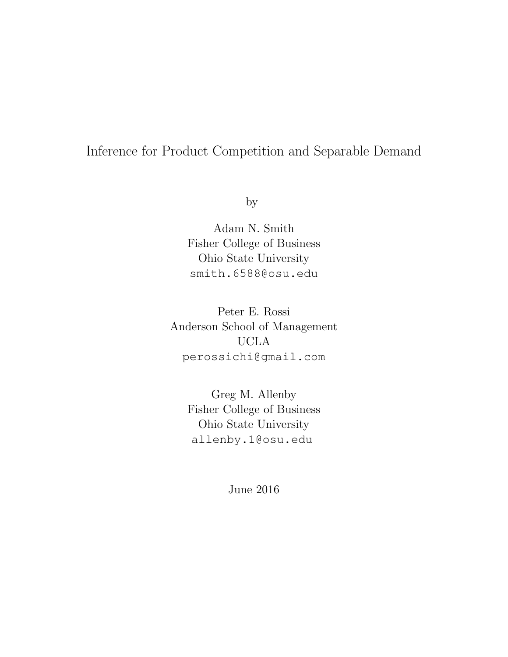# <span id="page-0-0"></span>Inference for Product Competition and Separable Demand

by

Adam N. Smith Fisher College of Business Ohio State University [smith.6588@osu.edu](mailto:smith.6588@osu.edu)

Peter E. Rossi Anderson School of Management UCLA [perossichi@gmail.com](mailto:perossichi@gmail.com)

> Greg M. Allenby Fisher College of Business Ohio State University [allenby.1@osu.edu](mailto:allenby.1@osu.edu)

> > June 2016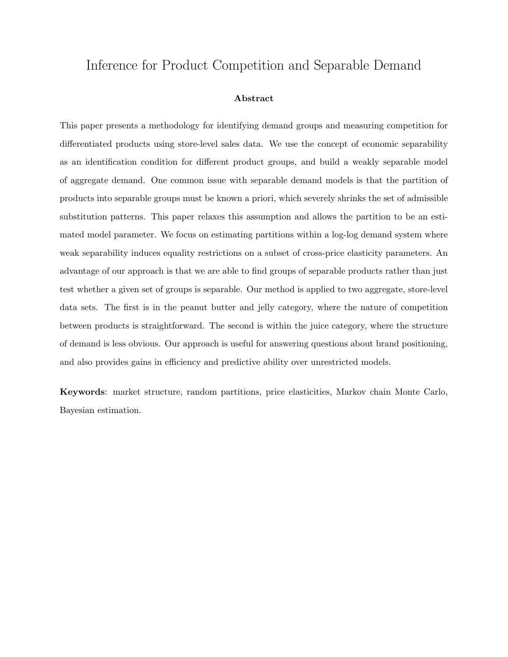## Inference for Product Competition and Separable Demand

#### Abstract

This paper presents a methodology for identifying demand groups and measuring competition for differentiated products using store-level sales data. We use the concept of economic separability as an identification condition for different product groups, and build a weakly separable model of aggregate demand. One common issue with separable demand models is that the partition of products into separable groups must be known a priori, which severely shrinks the set of admissible substitution patterns. This paper relaxes this assumption and allows the partition to be an estimated model parameter. We focus on estimating partitions within a log-log demand system where weak separability induces equality restrictions on a subset of cross-price elasticity parameters. An advantage of our approach is that we are able to find groups of separable products rather than just test whether a given set of groups is separable. Our method is applied to two aggregate, store-level data sets. The first is in the peanut butter and jelly category, where the nature of competition between products is straightforward. The second is within the juice category, where the structure of demand is less obvious. Our approach is useful for answering questions about brand positioning, and also provides gains in efficiency and predictive ability over unrestricted models.

Keywords: market structure, random partitions, price elasticities, Markov chain Monte Carlo, Bayesian estimation.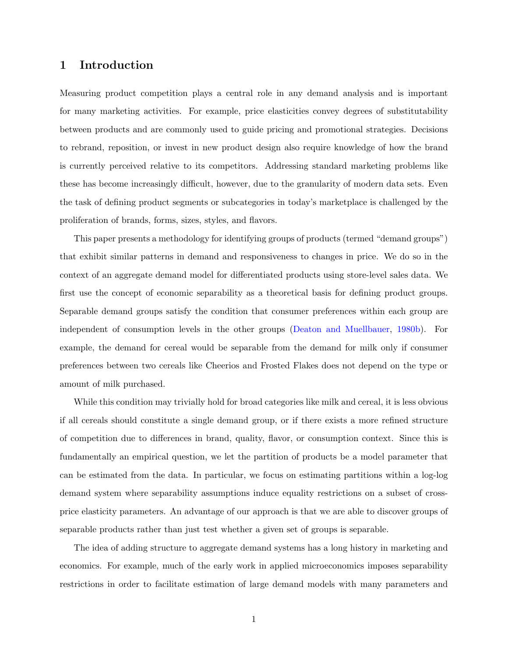### 1 Introduction

Measuring product competition plays a central role in any demand analysis and is important for many marketing activities. For example, price elasticities convey degrees of substitutability between products and are commonly used to guide pricing and promotional strategies. Decisions to rebrand, reposition, or invest in new product design also require knowledge of how the brand is currently perceived relative to its competitors. Addressing standard marketing problems like these has become increasingly difficult, however, due to the granularity of modern data sets. Even the task of defining product segments or subcategories in today's marketplace is challenged by the proliferation of brands, forms, sizes, styles, and flavors.

This paper presents a methodology for identifying groups of products (termed "demand groups") that exhibit similar patterns in demand and responsiveness to changes in price. We do so in the context of an aggregate demand model for differentiated products using store-level sales data. We first use the concept of economic separability as a theoretical basis for defining product groups. Separable demand groups satisfy the condition that consumer preferences within each group are independent of consumption levels in the other groups [\(Deaton and Muellbauer,](#page-37-0) [1980b\)](#page-37-0). For example, the demand for cereal would be separable from the demand for milk only if consumer preferences between two cereals like Cheerios and Frosted Flakes does not depend on the type or amount of milk purchased.

While this condition may trivially hold for broad categories like milk and cereal, it is less obvious if all cereals should constitute a single demand group, or if there exists a more refined structure of competition due to differences in brand, quality, flavor, or consumption context. Since this is fundamentally an empirical question, we let the partition of products be a model parameter that can be estimated from the data. In particular, we focus on estimating partitions within a log-log demand system where separability assumptions induce equality restrictions on a subset of crossprice elasticity parameters. An advantage of our approach is that we are able to discover groups of separable products rather than just test whether a given set of groups is separable.

The idea of adding structure to aggregate demand systems has a long history in marketing and economics. For example, much of the early work in applied microeconomics imposes separability restrictions in order to facilitate estimation of large demand models with many parameters and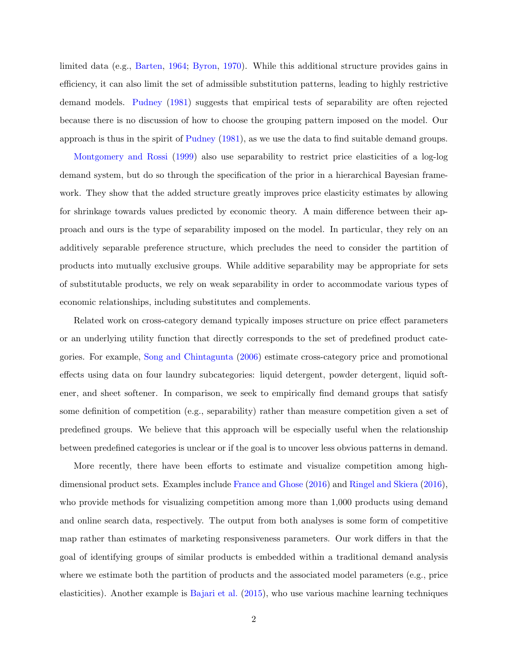limited data (e.g., [Barten,](#page-37-1) [1964;](#page-37-1) [Byron,](#page-37-2) [1970\)](#page-37-2). While this additional structure provides gains in efficiency, it can also limit the set of admissible substitution patterns, leading to highly restrictive demand models. [Pudney](#page-38-0) [\(1981\)](#page-38-0) suggests that empirical tests of separability are often rejected because there is no discussion of how to choose the grouping pattern imposed on the model. Our approach is thus in the spirit of [Pudney](#page-38-0) [\(1981\)](#page-38-0), as we use the data to find suitable demand groups.

[Montgomery and Rossi](#page-37-3) [\(1999\)](#page-37-3) also use separability to restrict price elasticities of a log-log demand system, but do so through the specification of the prior in a hierarchical Bayesian framework. They show that the added structure greatly improves price elasticity estimates by allowing for shrinkage towards values predicted by economic theory. A main difference between their approach and ours is the type of separability imposed on the model. In particular, they rely on an additively separable preference structure, which precludes the need to consider the partition of products into mutually exclusive groups. While additive separability may be appropriate for sets of substitutable products, we rely on weak separability in order to accommodate various types of economic relationships, including substitutes and complements.

Related work on cross-category demand typically imposes structure on price effect parameters or an underlying utility function that directly corresponds to the set of predefined product categories. For example, [Song and Chintagunta](#page-38-1) [\(2006\)](#page-38-1) estimate cross-category price and promotional effects using data on four laundry subcategories: liquid detergent, powder detergent, liquid softener, and sheet softener. In comparison, we seek to empirically find demand groups that satisfy some definition of competition (e.g., separability) rather than measure competition given a set of predefined groups. We believe that this approach will be especially useful when the relationship between predefined categories is unclear or if the goal is to uncover less obvious patterns in demand.

More recently, there have been efforts to estimate and visualize competition among highdimensional product sets. Examples include [France and Ghose](#page-37-4) [\(2016\)](#page-37-4) and [Ringel and Skiera](#page-38-2) [\(2016\)](#page-38-2), who provide methods for visualizing competition among more than 1,000 products using demand and online search data, respectively. The output from both analyses is some form of competitive map rather than estimates of marketing responsiveness parameters. Our work differs in that the goal of identifying groups of similar products is embedded within a traditional demand analysis where we estimate both the partition of products and the associated model parameters (e.g., price elasticities). Another example is [Bajari et al.](#page-37-5) [\(2015\)](#page-37-5), who use various machine learning techniques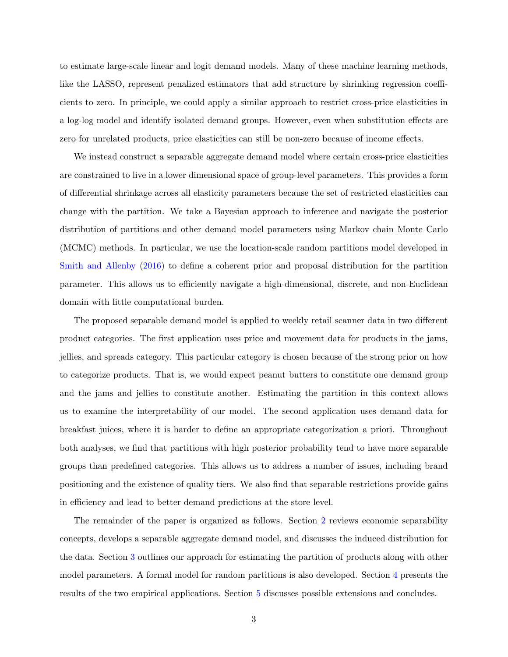to estimate large-scale linear and logit demand models. Many of these machine learning methods, like the LASSO, represent penalized estimators that add structure by shrinking regression coefficients to zero. In principle, we could apply a similar approach to restrict cross-price elasticities in a log-log model and identify isolated demand groups. However, even when substitution effects are zero for unrelated products, price elasticities can still be non-zero because of income effects.

We instead construct a separable aggregate demand model where certain cross-price elasticities are constrained to live in a lower dimensional space of group-level parameters. This provides a form of differential shrinkage across all elasticity parameters because the set of restricted elasticities can change with the partition. We take a Bayesian approach to inference and navigate the posterior distribution of partitions and other demand model parameters using Markov chain Monte Carlo (MCMC) methods. In particular, we use the location-scale random partitions model developed in [Smith and Allenby](#page-38-3) [\(2016\)](#page-38-3) to define a coherent prior and proposal distribution for the partition parameter. This allows us to efficiently navigate a high-dimensional, discrete, and non-Euclidean domain with little computational burden.

The proposed separable demand model is applied to weekly retail scanner data in two different product categories. The first application uses price and movement data for products in the jams, jellies, and spreads category. This particular category is chosen because of the strong prior on how to categorize products. That is, we would expect peanut butters to constitute one demand group and the jams and jellies to constitute another. Estimating the partition in this context allows us to examine the interpretability of our model. The second application uses demand data for breakfast juices, where it is harder to define an appropriate categorization a priori. Throughout both analyses, we find that partitions with high posterior probability tend to have more separable groups than predefined categories. This allows us to address a number of issues, including brand positioning and the existence of quality tiers. We also find that separable restrictions provide gains in efficiency and lead to better demand predictions at the store level.

The remainder of the paper is organized as follows. Section [2](#page-5-0) reviews economic separability concepts, develops a separable aggregate demand model, and discusses the induced distribution for the data. Section [3](#page-12-0) outlines our approach for estimating the partition of products along with other model parameters. A formal model for random partitions is also developed. Section [4](#page-21-0) presents the results of the two empirical applications. Section [5](#page-30-0) discusses possible extensions and concludes.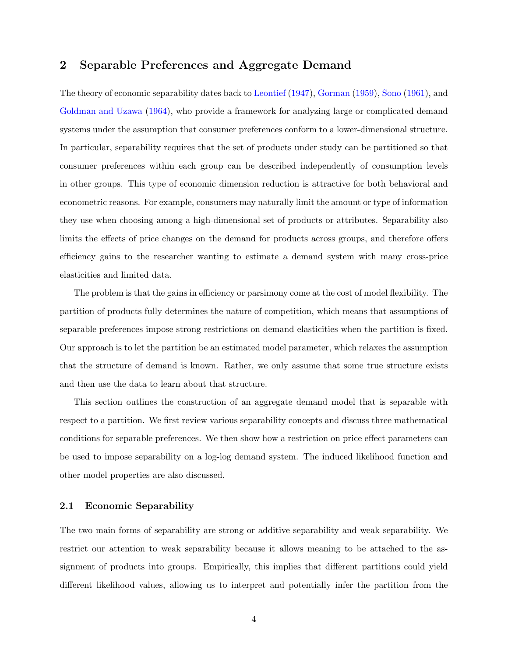### <span id="page-5-0"></span>2 Separable Preferences and Aggregate Demand

The theory of economic separability dates back to [Leontief](#page-37-6) [\(1947\)](#page-37-6), [Gorman](#page-37-7) [\(1959\)](#page-37-7), [Sono](#page-38-4) [\(1961\)](#page-38-4), and [Goldman and Uzawa](#page-37-8) [\(1964\)](#page-37-8), who provide a framework for analyzing large or complicated demand systems under the assumption that consumer preferences conform to a lower-dimensional structure. In particular, separability requires that the set of products under study can be partitioned so that consumer preferences within each group can be described independently of consumption levels in other groups. This type of economic dimension reduction is attractive for both behavioral and econometric reasons. For example, consumers may naturally limit the amount or type of information they use when choosing among a high-dimensional set of products or attributes. Separability also limits the effects of price changes on the demand for products across groups, and therefore offers efficiency gains to the researcher wanting to estimate a demand system with many cross-price elasticities and limited data.

The problem is that the gains in efficiency or parsimony come at the cost of model flexibility. The partition of products fully determines the nature of competition, which means that assumptions of separable preferences impose strong restrictions on demand elasticities when the partition is fixed. Our approach is to let the partition be an estimated model parameter, which relaxes the assumption that the structure of demand is known. Rather, we only assume that some true structure exists and then use the data to learn about that structure.

This section outlines the construction of an aggregate demand model that is separable with respect to a partition. We first review various separability concepts and discuss three mathematical conditions for separable preferences. We then show how a restriction on price effect parameters can be used to impose separability on a log-log demand system. The induced likelihood function and other model properties are also discussed.

#### 2.1 Economic Separability

The two main forms of separability are strong or additive separability and weak separability. We restrict our attention to weak separability because it allows meaning to be attached to the assignment of products into groups. Empirically, this implies that different partitions could yield different likelihood values, allowing us to interpret and potentially infer the partition from the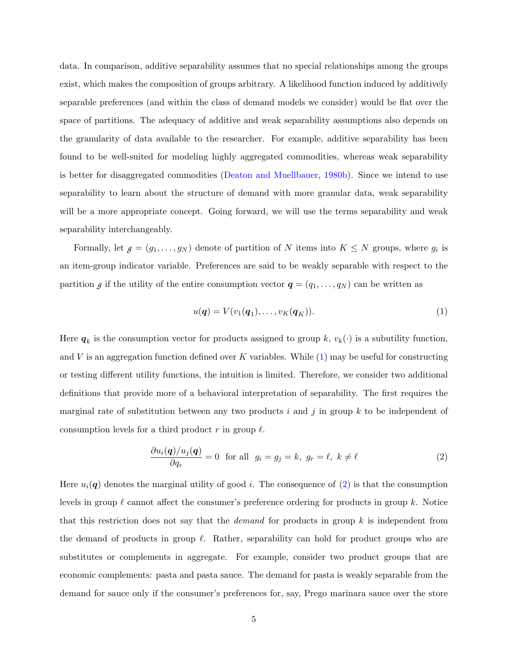data. In comparison, additive separability assumes that no special relationships among the groups exist, which makes the composition of groups arbitrary. A likelihood function induced by additively separable preferences (and within the class of demand models we consider) would be flat over the space of partitions. The adequacy of additive and weak separability assumptions also depends on the granularity of data available to the researcher. For example, additive separability has been found to be well-suited for modeling highly aggregated commodities, whereas weak separability is better for disaggregated commodities [\(Deaton and Muellbauer,](#page-37-0) [1980b\)](#page-37-0). Since we intend to use separability to learn about the structure of demand with more granular data, weak separability will be a more appropriate concept. Going forward, we will use the terms separability and weak separability interchangeably.

Formally, let  $g = (g_1, \ldots, g_N)$  denote of partition of N items into  $K \leq N$  groups, where  $g_i$  is an item-group indicator variable. Preferences are said to be weakly separable with respect to the partition *g* if the utility of the entire consumption vector  $q = (q_1, \ldots, q_N)$  can be written as

<span id="page-6-0"></span>
$$
u(\boldsymbol{q}) = V(v_1(\boldsymbol{q}_1), \dots, v_K(\boldsymbol{q}_K)).
$$
\n<sup>(1)</sup>

Here  $q_k$  is the consumption vector for products assigned to group k,  $v_k(\cdot)$  is a subutility function, and V is an aggregation function defined over K variables. While  $(1)$  may be useful for constructing or testing different utility functions, the intuition is limited. Therefore, we consider two additional definitions that provide more of a behavioral interpretation of separability. The first requires the marginal rate of substitution between any two products i and j in group  $k$  to be independent of consumption levels for a third product r in group  $\ell$ .

<span id="page-6-1"></span>
$$
\frac{\partial u_i(\mathbf{q})/u_j(\mathbf{q})}{\partial q_r} = 0 \quad \text{for all} \quad g_i = g_j = k, \ g_r = \ell, \ k \neq \ell \tag{2}
$$

Here  $u_i(q)$  denotes the marginal utility of good i. The consequence of [\(2\)](#page-6-1) is that the consumption levels in group  $\ell$  cannot affect the consumer's preference ordering for products in group k. Notice that this restriction does not say that the *demand* for products in group  $k$  is independent from the demand of products in group  $\ell$ . Rather, separability can hold for product groups who are substitutes or complements in aggregate. For example, consider two product groups that are economic complements: pasta and pasta sauce. The demand for pasta is weakly separable from the demand for sauce only if the consumer's preferences for, say, Prego marinara sauce over the store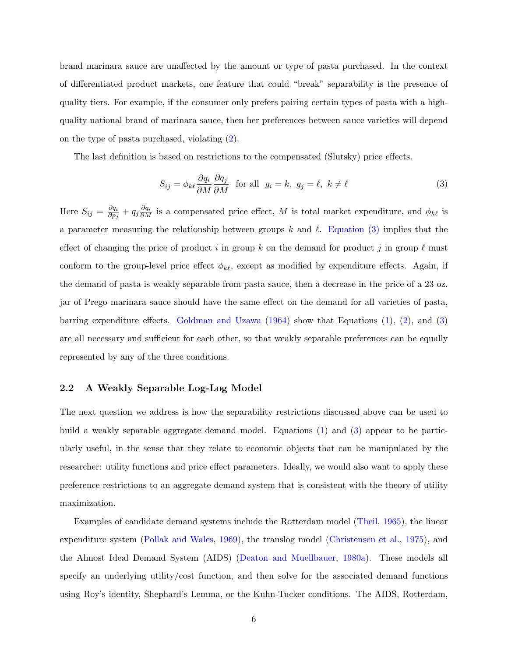brand marinara sauce are unaffected by the amount or type of pasta purchased. In the context of differentiated product markets, one feature that could "break" separability is the presence of quality tiers. For example, if the consumer only prefers pairing certain types of pasta with a highquality national brand of marinara sauce, then her preferences between sauce varieties will depend on the type of pasta purchased, violating [\(2\)](#page-6-1).

The last definition is based on restrictions to the compensated (Slutsky) price effects.

<span id="page-7-0"></span>
$$
S_{ij} = \phi_{k\ell} \frac{\partial q_i}{\partial M} \frac{\partial q_j}{\partial M} \quad \text{for all} \quad g_i = k, \ g_j = \ell, \ k \neq \ell \tag{3}
$$

Here  $S_{ij} = \frac{\partial q_i}{\partial n_i}$  $\frac{\partial q_i}{\partial p_j} + q_j \frac{\partial q_i}{\partial M}$  is a compensated price effect, M is total market expenditure, and  $\phi_{k\ell}$  is a parameter measuring the relationship between groups k and  $\ell$ . [Equation \(3\)](#page-7-0) implies that the effect of changing the price of product i in group k on the demand for product j in group  $\ell$  must conform to the group-level price effect  $\phi_{k\ell}$ , except as modified by expenditure effects. Again, if the demand of pasta is weakly separable from pasta sauce, then a decrease in the price of a 23 oz. jar of Prego marinara sauce should have the same effect on the demand for all varieties of pasta, barring expenditure effects. [Goldman and Uzawa](#page-37-8)  $(1964)$  show that Equations  $(1), (2),$  $(1), (2),$  $(1), (2),$  $(1), (2),$  and  $(3)$ are all necessary and sufficient for each other, so that weakly separable preferences can be equally represented by any of the three conditions.

#### 2.2 A Weakly Separable Log-Log Model

The next question we address is how the separability restrictions discussed above can be used to build a weakly separable aggregate demand model. Equations [\(1\)](#page-6-0) and [\(3\)](#page-7-0) appear to be particularly useful, in the sense that they relate to economic objects that can be manipulated by the researcher: utility functions and price effect parameters. Ideally, we would also want to apply these preference restrictions to an aggregate demand system that is consistent with the theory of utility maximization.

Examples of candidate demand systems include the Rotterdam model [\(Theil,](#page-38-5) [1965\)](#page-38-5), the linear expenditure system [\(Pollak and Wales,](#page-38-6) [1969\)](#page-38-6), the translog model [\(Christensen et al.,](#page-37-9) [1975\)](#page-37-9), and the Almost Ideal Demand System (AIDS) [\(Deaton and Muellbauer,](#page-37-10) [1980a\)](#page-37-10). These models all specify an underlying utility/cost function, and then solve for the associated demand functions using Roy's identity, Shephard's Lemma, or the Kuhn-Tucker conditions. The AIDS, Rotterdam,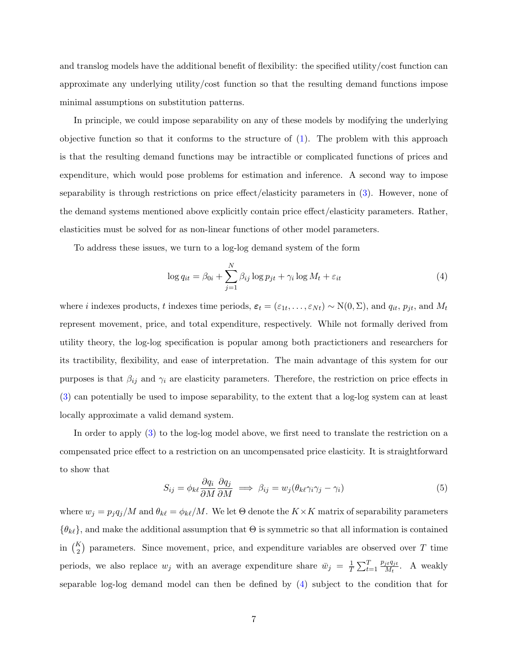and translog models have the additional benefit of flexibility: the specified utility/cost function can approximate any underlying utility/cost function so that the resulting demand functions impose minimal assumptions on substitution patterns.

In principle, we could impose separability on any of these models by modifying the underlying objective function so that it conforms to the structure of  $(1)$ . The problem with this approach is that the resulting demand functions may be intractible or complicated functions of prices and expenditure, which would pose problems for estimation and inference. A second way to impose separability is through restrictions on price effect/elasticity parameters in [\(3\)](#page-7-0). However, none of the demand systems mentioned above explicitly contain price effect/elasticity parameters. Rather, elasticities must be solved for as non-linear functions of other model parameters.

To address these issues, we turn to a log-log demand system of the form

<span id="page-8-0"></span>
$$
\log q_{it} = \beta_{0i} + \sum_{j=1}^{N} \beta_{ij} \log p_{jt} + \gamma_i \log M_t + \varepsilon_{it}
$$
\n(4)

where i indexes products, t indexes time periods,  $\varepsilon_t = (\varepsilon_{1t}, \ldots, \varepsilon_{Nt}) \sim N(0, \Sigma)$ , and  $q_{it}$ ,  $p_{jt}$ , and  $M_t$ represent movement, price, and total expenditure, respectively. While not formally derived from utility theory, the log-log specification is popular among both practictioners and researchers for its tractibility, flexibility, and ease of interpretation. The main advantage of this system for our purposes is that  $\beta_{ij}$  and  $\gamma_i$  are elasticity parameters. Therefore, the restriction on price effects in [\(3\)](#page-7-0) can potentially be used to impose separability, to the extent that a log-log system can at least locally approximate a valid demand system.

In order to apply [\(3\)](#page-7-0) to the log-log model above, we first need to translate the restriction on a compensated price effect to a restriction on an uncompensated price elasticity. It is straightforward to show that

$$
S_{ij} = \phi_{k\ell} \frac{\partial q_i}{\partial M} \frac{\partial q_j}{\partial M} \implies \beta_{ij} = w_j (\theta_{k\ell} \gamma_i \gamma_j - \gamma_i)
$$
(5)

where  $w_j = p_j q_j/M$  and  $\theta_{k\ell} = \phi_{k\ell}/M$ . We let  $\Theta$  denote the  $K \times K$  matrix of separability parameters  ${\lbrace \theta_{k\ell} \rbrace}$ , and make the additional assumption that  $\Theta$  is symmetric so that all information is contained in  $\binom{K}{2}$  parameters. Since movement, price, and expenditure variables are observed over T time periods, we also replace  $w_j$  with an average expenditure share  $\bar{w}_j = \frac{1}{7}$  $\frac{1}{T} \sum_{t=1}^T$  $p_{jt}q_{jt}$  $\frac{W_j}{M_t}$ . A weakly separable log-log demand model can then be defined by [\(4\)](#page-8-0) subject to the condition that for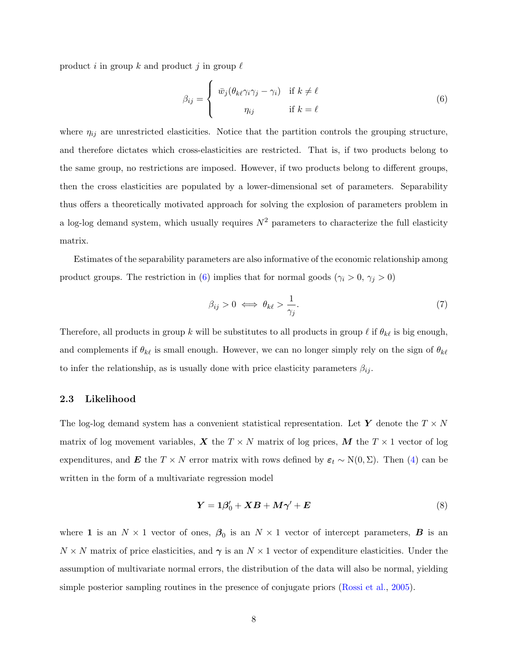product i in group k and product j in group  $\ell$ 

<span id="page-9-0"></span>
$$
\beta_{ij} = \begin{cases} \bar{w}_j (\theta_{k\ell} \gamma_i \gamma_j - \gamma_i) & \text{if } k \neq \ell \\ n_{ij} & \text{if } k = \ell \end{cases}
$$
 (6)

where  $\eta_{ij}$  are unrestricted elasticities. Notice that the partition controls the grouping structure, and therefore dictates which cross-elasticities are restricted. That is, if two products belong to the same group, no restrictions are imposed. However, if two products belong to different groups, then the cross elasticities are populated by a lower-dimensional set of parameters. Separability thus offers a theoretically motivated approach for solving the explosion of parameters problem in a log-log demand system, which usually requires  $N^2$  parameters to characterize the full elasticity matrix.

Estimates of the separability parameters are also informative of the economic relationship among product groups. The restriction in [\(6\)](#page-9-0) implies that for normal goods ( $\gamma_i > 0$ ,  $\gamma_j > 0$ )

<span id="page-9-3"></span>
$$
\beta_{ij} > 0 \iff \theta_{k\ell} > \frac{1}{\gamma_j}.\tag{7}
$$

Therefore, all products in group k will be substitutes to all products in group  $\ell$  if  $\theta_{k\ell}$  is big enough, and complements if  $\theta_{k\ell}$  is small enough. However, we can no longer simply rely on the sign of  $\theta_{k\ell}$ to infer the relationship, as is usually done with price elasticity parameters  $\beta_{ij}$ .

#### <span id="page-9-2"></span>2.3 Likelihood

The log-log demand system has a convenient statistical representation. Let Y denote the  $T \times N$ matrix of log movement variables, X the  $T \times N$  matrix of log prices, M the  $T \times 1$  vector of log expenditures, and E the T × N error matrix with rows defined by  $\varepsilon_t \sim N(0, \Sigma)$ . Then [\(4\)](#page-8-0) can be written in the form of a multivariate regression model

<span id="page-9-1"></span>
$$
Y = 1\beta'_0 + XB + M\gamma' + E \tag{8}
$$

where 1 is an  $N \times 1$  vector of ones,  $\beta_0$  is an  $N \times 1$  vector of intercept parameters, **B** is an  $N \times N$  matrix of price elasticities, and  $\gamma$  is an  $N \times 1$  vector of expenditure elasticities. Under the assumption of multivariate normal errors, the distribution of the data will also be normal, yielding simple posterior sampling routines in the presence of conjugate priors [\(Rossi et al.,](#page-38-7) [2005\)](#page-38-7).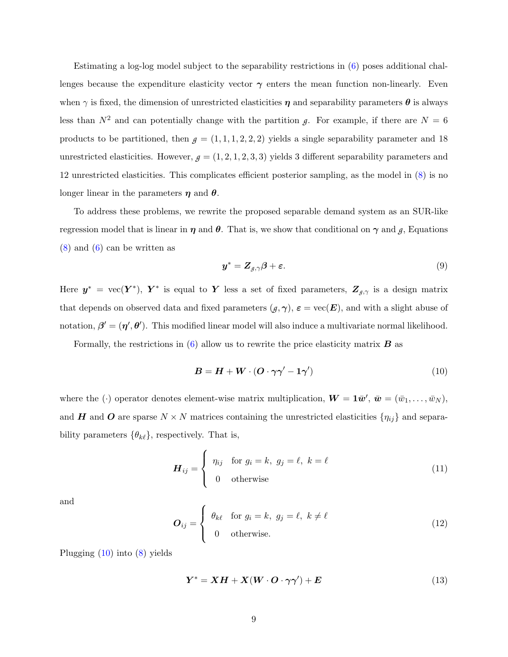Estimating a log-log model subject to the separability restrictions in [\(6\)](#page-9-0) poses additional challenges because the expenditure elasticity vector  $\gamma$  enters the mean function non-linearly. Even when  $\gamma$  is fixed, the dimension of unrestricted elasticities  $\eta$  and separability parameters  $\theta$  is always less than  $N^2$  and can potentially change with the partition *g*. For example, if there are  $N = 6$ products to be partitioned, then  $g = (1, 1, 1, 2, 2, 2)$  yields a single separability parameter and 18 unrestricted elasticities. However,  $g = (1, 2, 1, 2, 3, 3)$  yields 3 different separability parameters and 12 unrestricted elasticities. This complicates efficient posterior sampling, as the model in [\(8\)](#page-9-1) is no longer linear in the parameters  $\eta$  and  $\theta$ .

To address these problems, we rewrite the proposed separable demand system as an SUR-like regression model that is linear in  $\eta$  and  $\theta$ . That is, we show that conditional on  $\gamma$  and  $\eta$ , Equations  $(8)$  and  $(6)$  can be written as

$$
\mathbf{y}^* = \mathbf{Z}_{g,\gamma}\boldsymbol{\beta} + \boldsymbol{\varepsilon}.\tag{9}
$$

Here  $y^* = \text{vec}(Y^*)$ ,  $Y^*$  is equal to Y less a set of fixed parameters,  $Z_{\beta,\gamma}$  is a design matrix that depends on observed data and fixed parameters  $(g, \gamma)$ ,  $\varepsilon = \text{vec}(\mathbf{E})$ , and with a slight abuse of notation,  $\beta' = (\eta', \theta')$ . This modified linear model will also induce a multivariate normal likelihood.

Formally, the restrictions in  $(6)$  allow us to rewrite the price elasticity matrix  $\boldsymbol{B}$  as

<span id="page-10-0"></span>
$$
B = H + W \cdot (O \cdot \gamma \gamma' - 1 \gamma') \tag{10}
$$

where the ( $\cdot$ ) operator denotes element-wise matrix multiplication,  $\mathbf{W} = \mathbf{1}\bar{\mathbf{w}}'$ ,  $\bar{\mathbf{w}} = (\bar{w}_1, \dots, \bar{w}_N)$ , and H and O are sparse  $N \times N$  matrices containing the unrestricted elasticities  $\{\eta_{ij}\}\$ and separability parameters  $\{\theta_{k\ell}\}\$ , respectively. That is,

$$
\boldsymbol{H}_{ij} = \begin{cases} \eta_{ij} & \text{for } g_i = k, \ g_j = \ell, \ k = \ell \\ 0 & \text{otherwise} \end{cases} \tag{11}
$$

and

$$
\boldsymbol{O}_{ij} = \begin{cases} \theta_{k\ell} & \text{for } g_i = k, \ g_j = \ell, \ k \neq \ell \\ 0 & \text{otherwise.} \end{cases} \tag{12}
$$

Plugging [\(10\)](#page-10-0) into [\(8\)](#page-9-1) yields

<span id="page-10-1"></span>
$$
Y^* = XH + X(W \cdot O \cdot \gamma \gamma') + E \tag{13}
$$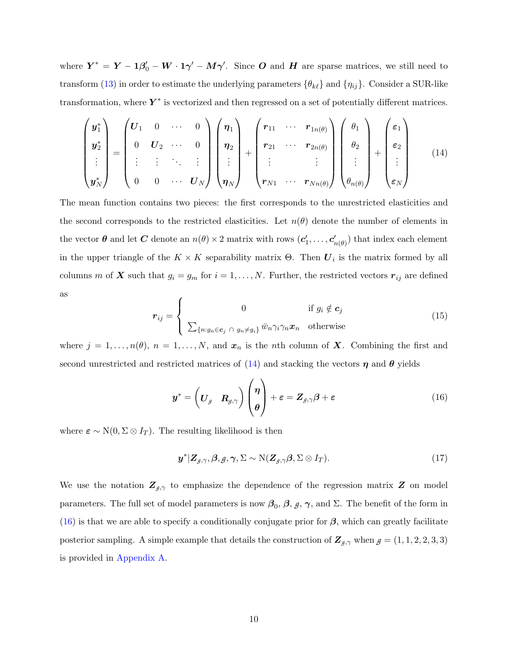where  $Y^* = Y - 1\beta'_0 - W \cdot 1\gamma' - M\gamma'$ . Since O and H are sparse matrices, we still need to transform [\(13\)](#page-10-1) in order to estimate the underlying parameters  $\{\theta_{k\ell}\}\$  and  $\{\eta_{ij}\}\$ . Consider a SUR-like transformation, where  $Y^*$  is vectorized and then regressed on a set of potentially different matrices.

<span id="page-11-0"></span>
$$
\begin{pmatrix}\n\boldsymbol{y}_{1}^{*} \\
\boldsymbol{y}_{2}^{*} \\
\vdots \\
\boldsymbol{y}_{N}^{*}\n\end{pmatrix} = \begin{pmatrix}\n\boldsymbol{U}_{1} & 0 & \cdots & 0 \\
0 & \boldsymbol{U}_{2} & \cdots & 0 \\
\vdots & \vdots & \ddots & \vdots \\
0 & 0 & \cdots & \boldsymbol{U}_{N}\n\end{pmatrix} \begin{pmatrix}\n\boldsymbol{\eta}_{1} \\
\boldsymbol{\eta}_{2} \\
\vdots \\
\boldsymbol{\eta}_{N}\n\end{pmatrix} + \begin{pmatrix}\n\boldsymbol{r}_{11} & \cdots & \boldsymbol{r}_{1n(\theta)} \\
\boldsymbol{r}_{21} & \cdots & \boldsymbol{r}_{2n(\theta)} \\
\vdots & \vdots & \ddots \\
\boldsymbol{r}_{N1} & \cdots & \boldsymbol{r}_{Nn(\theta)}\n\end{pmatrix} \begin{pmatrix}\n\theta_{1} \\
\theta_{2} \\
\vdots \\
\theta_{n(\theta)}\n\end{pmatrix} + \begin{pmatrix}\n\boldsymbol{\varepsilon}_{1} \\
\boldsymbol{\varepsilon}_{2} \\
\vdots \\
\boldsymbol{\varepsilon}_{N}\n\end{pmatrix}
$$
\n(14)

The mean function contains two pieces: the first corresponds to the unrestricted elasticities and the second corresponds to the restricted elasticities. Let  $n(\theta)$  denote the number of elements in the vector  $\theta$  and let C denote an  $n(\theta) \times 2$  matrix with rows  $(c'_1, \ldots, c'_{n(\theta)})$  that index each element in the upper triangle of the  $K \times K$  separability matrix  $\Theta$ . Then  $\boldsymbol{U}_i$  is the matrix formed by all columns m of X such that  $g_i = g_m$  for  $i = 1, ..., N$ . Further, the restricted vectors  $r_{ij}$  are defined as  $\epsilon$ 

$$
\boldsymbol{r}_{ij} = \begin{cases}\n0 & \text{if } g_i \notin \boldsymbol{c}_j \\
\sum_{\{n:g_n \in \boldsymbol{c}_j \; \cap \; g_n \neq g_i\}} \bar{w}_n \gamma_i \gamma_n \boldsymbol{x}_n & \text{otherwise}\n\end{cases}
$$
\n(15)

where  $j = 1, \ldots, n(\theta)$ ,  $n = 1, \ldots, N$ , and  $x_n$  is the nth column of **X**. Combining the first and second unrestricted and restricted matrices of [\(14\)](#page-11-0) and stacking the vectors  $\eta$  and  $\theta$  yields

<span id="page-11-1"></span>
$$
\boldsymbol{y}^* = \left(\boldsymbol{U}_{\boldsymbol{\beta}} \quad \boldsymbol{R}_{\boldsymbol{\beta},\gamma}\right) \begin{pmatrix} \boldsymbol{\eta} \\ \boldsymbol{\theta} \end{pmatrix} + \boldsymbol{\varepsilon} = \boldsymbol{Z}_{\boldsymbol{\beta},\gamma}\boldsymbol{\beta} + \boldsymbol{\varepsilon} \tag{16}
$$

where  $\varepsilon \sim N(0, \Sigma \otimes I_T)$ . The resulting likelihood is then

<span id="page-11-2"></span>
$$
\boldsymbol{y}^* | \boldsymbol{Z}_{\boldsymbol{g}, \boldsymbol{\gamma}}, \boldsymbol{\beta}, \boldsymbol{g}, \boldsymbol{\gamma}, \boldsymbol{\Sigma} \sim \mathrm{N}(\boldsymbol{Z}_{\boldsymbol{g}, \boldsymbol{\gamma}} \boldsymbol{\beta}, \boldsymbol{\Sigma} \otimes \boldsymbol{I}_T). \tag{17}
$$

We use the notation  $\mathbf{Z}_{g,\gamma}$  to emphasize the dependence of the regression matrix  $\mathbf{Z}$  on model parameters. The full set of model parameters is now  $\beta_0$ ,  $\beta$ ,  $\beta$ ,  $\gamma$ , and Σ. The benefit of the form in [\(16\)](#page-11-1) is that we are able to specify a conditionally conjugate prior for  $\beta$ , which can greatly facilitate posterior sampling. A simple example that details the construction of  $\mathbf{Z}_{g,\gamma}$  when  $g = (1, 1, 2, 2, 3, 3)$ is provided in [Appendix A.](#page-32-0)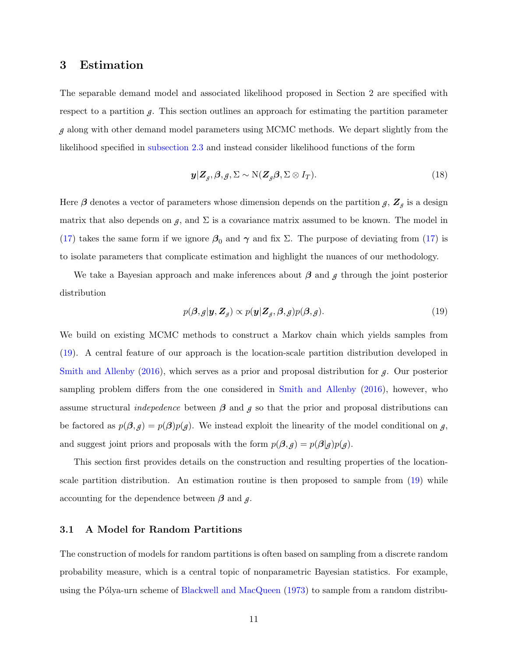### <span id="page-12-0"></span>3 Estimation

The separable demand model and associated likelihood proposed in Section 2 are specified with respect to a partition  $g$ . This section outlines an approach for estimating the partition parameter *g* along with other demand model parameters using MCMC methods. We depart slightly from the likelihood specified in [subsection 2.3](#page-9-2) and instead consider likelihood functions of the form

<span id="page-12-2"></span>
$$
\mathbf{y}|\mathbf{Z}_{g},\boldsymbol{\beta},g,\boldsymbol{\Sigma}\sim\mathrm{N}(\mathbf{Z}_{g}\boldsymbol{\beta},\boldsymbol{\Sigma}\otimes\boldsymbol{I}_{T}).
$$
\n(18)

Here  $\beta$  denotes a vector of parameters whose dimension depends on the partition  $g$ ,  $\mathbf{Z}_g$  is a design matrix that also depends on  $g$ , and  $\Sigma$  is a covariance matrix assumed to be known. The model in [\(17\)](#page-11-2) takes the same form if we ignore  $\beta_0$  and  $\gamma$  and fix Σ. The purpose of deviating from (17) is to isolate parameters that complicate estimation and highlight the nuances of our methodology.

We take a Bayesian approach and make inferences about β and *g* through the joint posterior distribution

<span id="page-12-1"></span>
$$
p(\boldsymbol{\beta}, g | \boldsymbol{y}, \boldsymbol{Z}_g) \propto p(\boldsymbol{y} | \boldsymbol{Z}_g, \boldsymbol{\beta}, g) p(\boldsymbol{\beta}, g). \tag{19}
$$

We build on existing MCMC methods to construct a Markov chain which yields samples from [\(19\)](#page-12-1). A central feature of our approach is the location-scale partition distribution developed in [Smith and Allenby](#page-38-3) [\(2016\)](#page-38-3), which serves as a prior and proposal distribution for *g*. Our posterior sampling problem differs from the one considered in [Smith and Allenby](#page-38-3) [\(2016\)](#page-38-3), however, who assume structural *indepedence* between  $\beta$  and  $\beta$  so that the prior and proposal distributions can be factored as  $p(\beta, g) = p(\beta)p(g)$ . We instead exploit the linearity of the model conditional on *g*, and suggest joint priors and proposals with the form  $p(\beta, g) = p(\beta|g)p(g)$ .

This section first provides details on the construction and resulting properties of the locationscale partition distribution. An estimation routine is then proposed to sample from [\(19\)](#page-12-1) while accounting for the dependence between  $\beta$  and  $\beta$ .

#### 3.1 A Model for Random Partitions

The construction of models for random partitions is often based on sampling from a discrete random probability measure, which is a central topic of nonparametric Bayesian statistics. For example, using the Pólya-urn scheme of [Blackwell and MacQueen](#page-37-11)  $(1973)$  to sample from a random distribu-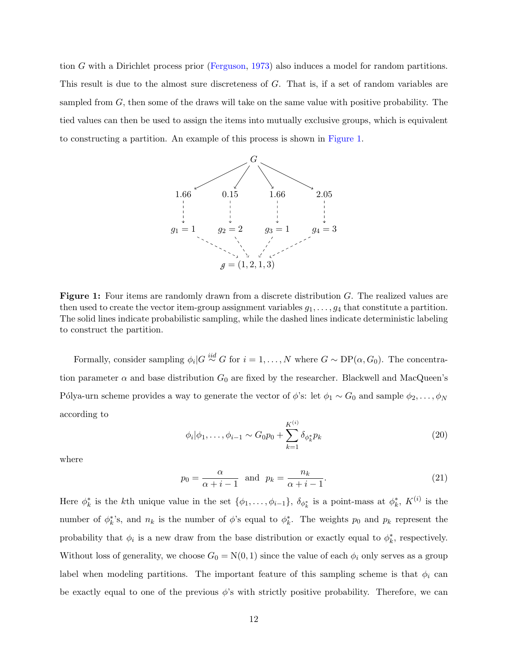<span id="page-13-0"></span>tion G with a Dirichlet process prior [\(Ferguson,](#page-37-12) [1973\)](#page-37-12) also induces a model for random partitions. This result is due to the almost sure discreteness of G. That is, if a set of random variables are sampled from G, then some of the draws will take on the same value with positive probability. The tied values can then be used to assign the items into mutually exclusive groups, which is equivalent to constructing a partition. An example of this process is shown in [Figure 1.](#page-13-0)



Figure 1: Four items are randomly drawn from a discrete distribution G. The realized values are then used to create the vector item-group assignment variables  $g_1, \ldots, g_4$  that constitute a partition. The solid lines indicate probabilistic sampling, while the dashed lines indicate deterministic labeling to construct the partition.

Formally, consider sampling  $\phi_i|G \stackrel{iid}{\sim} G$  for  $i = 1, ..., N$  where  $G \sim DP(\alpha, G_0)$ . The concentration parameter  $\alpha$  and base distribution  $G_0$  are fixed by the researcher. Blackwell and MacQueen's Pólya-urn scheme provides a way to generate the vector of  $\phi$ 's: let  $\phi_1 \sim G_0$  and sample  $\phi_2, \ldots, \phi_N$ according to

<span id="page-13-1"></span>
$$
\phi_i|\phi_1,\ldots,\phi_{i-1} \sim G_0 p_0 + \sum_{k=1}^{K^{(i)}} \delta_{\phi_k^*} p_k
$$
\n(20)

where

$$
p_0 = \frac{\alpha}{\alpha + i - 1} \quad \text{and} \quad p_k = \frac{n_k}{\alpha + i - 1}.\tag{21}
$$

Here  $\phi_k^*$  is the kth unique value in the set  $\{\phi_1,\ldots,\phi_{i-1}\},\ \delta_{\phi_k^*}$  is a point-mass at  $\phi_k^*, K^{(i)}$  is the number of  $\phi_k^*$ 's, and  $n_k$  is the number of  $\phi$ 's equal to  $\phi_k^*$ . The weights  $p_0$  and  $p_k$  represent the probability that  $\phi_i$  is a new draw from the base distribution or exactly equal to  $\phi_k^*$ , respectively. Without loss of generality, we choose  $G_0 = N(0, 1)$  since the value of each  $\phi_i$  only serves as a group label when modeling partitions. The important feature of this sampling scheme is that  $\phi_i$  can be exactly equal to one of the previous  $\phi$ 's with strictly positive probability. Therefore, we can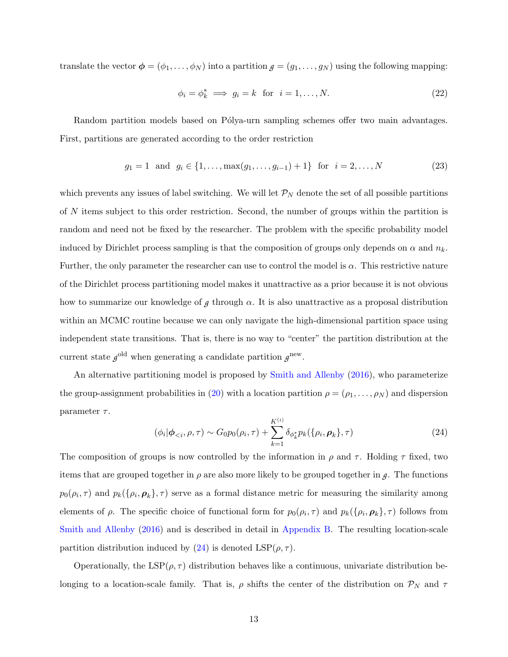translate the vector  $\phi = (\phi_1, \dots, \phi_N)$  into a partition  $g = (g_1, \dots, g_N)$  using the following mapping:

$$
\phi_i = \phi_k^* \implies g_i = k \text{ for } i = 1, \dots, N. \tag{22}
$$

Random partition models based on Pólya-urn sampling schemes offer two main advantages. First, partitions are generated according to the order restriction

$$
g_1 = 1
$$
 and  $g_i \in \{1, ..., \max(g_1, ..., g_{i-1}) + 1\}$  for  $i = 2, ..., N$  (23)

which prevents any issues of label switching. We will let  $\mathcal{P}_N$  denote the set of all possible partitions of N items subject to this order restriction. Second, the number of groups within the partition is random and need not be fixed by the researcher. The problem with the specific probability model induced by Dirichlet process sampling is that the composition of groups only depends on  $\alpha$  and  $n_k$ . Further, the only parameter the researcher can use to control the model is  $\alpha$ . This restrictive nature of the Dirichlet process partitioning model makes it unattractive as a prior because it is not obvious how to summarize our knowledge of  $g$  through  $\alpha$ . It is also unattractive as a proposal distribution within an MCMC routine because we can only navigate the high-dimensional partition space using independent state transitions. That is, there is no way to "center" the partition distribution at the current state  $g^{\text{old}}$  when generating a candidate partition  $g^{\text{new}}$ .

An alternative partitioning model is proposed by [Smith and Allenby](#page-38-3) [\(2016\)](#page-38-3), who parameterize the group-assignment probabilities in [\(20\)](#page-13-1) with a location partition  $\rho = (\rho_1, \ldots, \rho_N)$  and dispersion parameter  $\tau$ .

<span id="page-14-0"></span>
$$
(\phi_i | \phi_{\leq i}, \rho, \tau) \sim G_0 p_0(\rho_i, \tau) + \sum_{k=1}^{K^{(i)}} \delta_{\phi_k^*} p_k(\{\rho_i, \rho_k\}, \tau)
$$
\n(24)

The composition of groups is now controlled by the information in  $\rho$  and  $\tau$ . Holding  $\tau$  fixed, two items that are grouped together in  $\rho$  are also more likely to be grouped together in  $q$ . The functions  $p_0(\rho_i, \tau)$  and  $p_k(\{\rho_i, \rho_k\}, \tau)$  serve as a formal distance metric for measuring the similarity among elements of  $\rho$ . The specific choice of functional form for  $p_0(\rho_i, \tau)$  and  $p_k(\{\rho_i, \rho_k\}, \tau)$  follows from [Smith and Allenby](#page-38-3) [\(2016\)](#page-38-3) and is described in detail in [Appendix B.](#page-33-0) The resulting location-scale partition distribution induced by [\(24\)](#page-14-0) is denoted  $\text{LSP}(\rho, \tau)$ .

Operationally, the  $LSP(\rho, \tau)$  distribution behaves like a continuous, univariate distribution belonging to a location-scale family. That is,  $\rho$  shifts the center of the distribution on  $\mathcal{P}_N$  and  $\tau$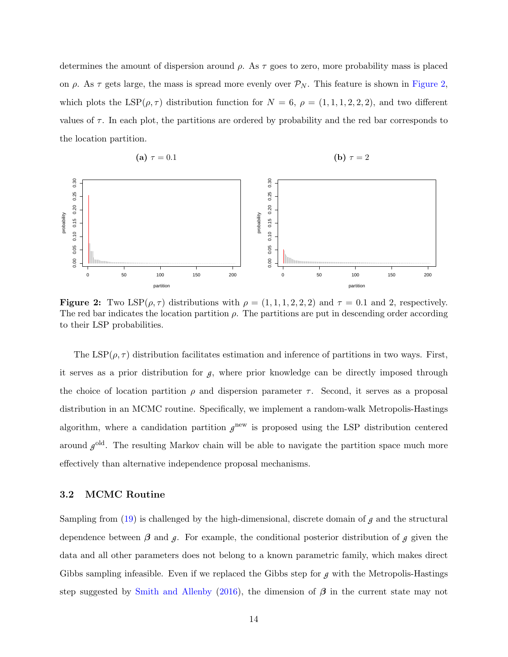determines the amount of dispersion around  $\rho$ . As  $\tau$  goes to zero, more probability mass is placed on  $\rho$ . As  $\tau$  gets large, the mass is spread more evenly over  $\mathcal{P}_N$ . This feature is shown in [Figure 2,](#page-15-0) which plots the  $LSP(\rho, \tau)$  distribution function for  $N = 6$ ,  $\rho = (1, 1, 1, 2, 2, 2)$ , and two different values of  $\tau$ . In each plot, the partitions are ordered by probability and the red bar corresponds to the location partition.

<span id="page-15-0"></span>

**Figure 2:** Two  $\text{LSP}(\rho, \tau)$  distributions with  $\rho = (1, 1, 1, 2, 2, 2)$  and  $\tau = 0.1$  and 2, respectively. The red bar indicates the location partition  $\rho$ . The partitions are put in descending order according to their LSP probabilities.

The LSP( $\rho$ ,  $\tau$ ) distribution facilitates estimation and inference of partitions in two ways. First, it serves as a prior distribution for  $g$ , where prior knowledge can be directly imposed through the choice of location partition  $\rho$  and dispersion parameter  $\tau$ . Second, it serves as a proposal distribution in an MCMC routine. Specifically, we implement a random-walk Metropolis-Hastings algorithm, where a candidation partition  $g<sup>new</sup>$  is proposed using the LSP distribution centered around  $g^{\text{old}}$ . The resulting Markov chain will be able to navigate the partition space much more effectively than alternative independence proposal mechanisms.

#### <span id="page-15-1"></span>3.2 MCMC Routine

Sampling from  $(19)$  is challenged by the high-dimensional, discrete domain of  $g$  and the structural dependence between  $\beta$  and  $\beta$ . For example, the conditional posterior distribution of  $\beta$  given the data and all other parameters does not belong to a known parametric family, which makes direct Gibbs sampling infeasible. Even if we replaced the Gibbs step for *g* with the Metropolis-Hastings step suggested by [Smith and Allenby](#page-38-3) [\(2016\)](#page-38-3), the dimension of  $\beta$  in the current state may not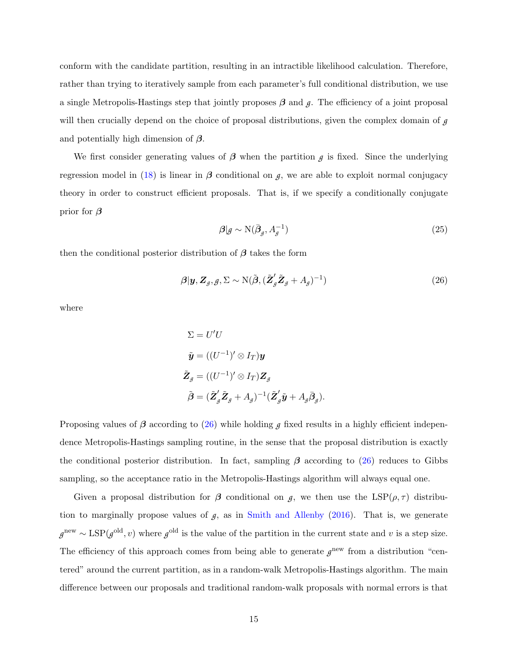conform with the candidate partition, resulting in an intractible likelihood calculation. Therefore, rather than trying to iteratively sample from each parameter's full conditional distribution, we use a single Metropolis-Hastings step that jointly proposes  $\beta$  and  $\beta$ . The efficiency of a joint proposal will then crucially depend on the choice of proposal distributions, given the complex domain of *g* and potentially high dimension of  $\beta$ .

We first consider generating values of  $\beta$  when the partition  $\beta$  is fixed. Since the underlying regression model in [\(18\)](#page-12-2) is linear in  $\beta$  conditional on  $\beta$ , we are able to exploit normal conjugacy theory in order to construct efficient proposals. That is, if we specify a conditionally conjugate prior for  $\beta$ 

$$
\mathcal{B}|\mathcal{g} \sim \mathcal{N}(\bar{\beta}_{\mathcal{g}}, A_{\mathcal{g}}^{-1})
$$
\n<sup>(25)</sup>

then the conditional posterior distribution of  $\beta$  takes the form

<span id="page-16-0"></span>
$$
\boldsymbol{\beta}|\mathbf{y}, \mathbf{Z}_{g}, \mathbf{y}, \boldsymbol{\Sigma} \sim \mathrm{N}(\tilde{\boldsymbol{\beta}}, (\tilde{\mathbf{Z}}_{g}^{\prime}\tilde{\mathbf{Z}}_{g} + A_{g})^{-1})
$$
\n(26)

where

$$
\Sigma = U'U
$$
  
\n
$$
\tilde{\mathbf{y}} = ((U^{-1})' \otimes I_T) \mathbf{y}
$$
  
\n
$$
\tilde{\mathbf{Z}}_g = ((U^{-1})' \otimes I_T) \mathbf{Z}_g
$$
  
\n
$$
\tilde{\boldsymbol{\beta}} = (\tilde{\mathbf{Z}}_g' \tilde{\mathbf{Z}}_g + A_g)^{-1} (\tilde{\mathbf{Z}}_g' \tilde{\mathbf{y}} + A_g \bar{\boldsymbol{\beta}}_g).
$$

Proposing values of  $\beta$  according to [\(26\)](#page-16-0) while holding  $\beta$  fixed results in a highly efficient independence Metropolis-Hastings sampling routine, in the sense that the proposal distribution is exactly the conditional posterior distribution. In fact, sampling  $\beta$  according to [\(26\)](#page-16-0) reduces to Gibbs sampling, so the acceptance ratio in the Metropolis-Hastings algorithm will always equal one.

Given a proposal distribution for  $\beta$  conditional on  $\beta$ , we then use the LSP( $\rho, \tau$ ) distribution to marginally propose values of  $g$ , as in [Smith and Allenby](#page-38-3) [\(2016\)](#page-38-3). That is, we generate  $g^{\text{new}} \sim \text{LSP}(g^{\text{old}}, v)$  where  $g^{\text{old}}$  is the value of the partition in the current state and v is a step size. The efficiency of this approach comes from being able to generate  $g<sup>new</sup>$  from a distribution "centered" around the current partition, as in a random-walk Metropolis-Hastings algorithm. The main difference between our proposals and traditional random-walk proposals with normal errors is that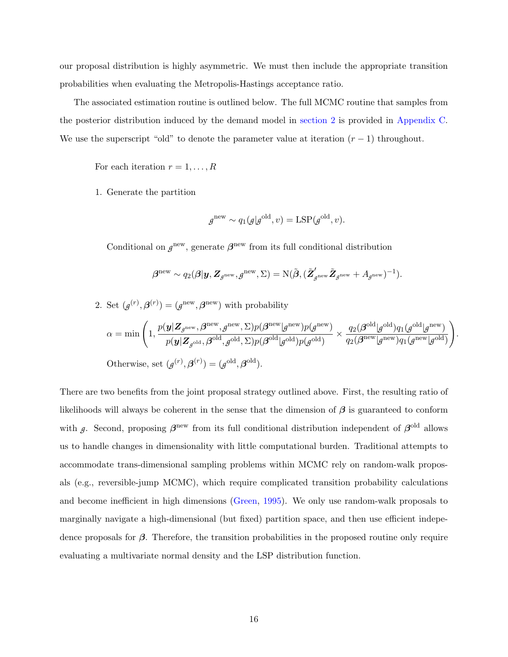our proposal distribution is highly asymmetric. We must then include the appropriate transition probabilities when evaluating the Metropolis-Hastings acceptance ratio.

The associated estimation routine is outlined below. The full MCMC routine that samples from the posterior distribution induced by the demand model in [section 2](#page-5-0) is provided in [Appendix C.](#page-34-0) We use the superscript "old" to denote the parameter value at iteration  $(r - 1)$  throughout.

For each iteration  $r = 1, \ldots, R$ 

1. Generate the partition

$$
g^{\text{new}} \sim q_1(g|g^{\text{old}}, v) = \text{LSP}(g^{\text{old}}, v).
$$

Conditional on  $g^{\text{new}}$ , generate  $\beta^{\text{new}}$  from its full conditional distribution

$$
\boldsymbol{\beta}^{\text{new}} \sim q_2(\boldsymbol{\beta}|\boldsymbol{y}, \boldsymbol{Z}_{\boldsymbol{\mathcal{g}}^{\text{new}}}, \boldsymbol{g}^{\text{new}}, \Sigma) = \mathrm{N}(\tilde{\boldsymbol{\beta}}, (\tilde{\boldsymbol{Z}}_{\boldsymbol{\mathcal{g}}^{\text{new}}}^{\boldsymbol{\prime}}\tilde{\boldsymbol{Z}}_{\boldsymbol{\mathcal{g}}^{\text{new}}} + A_{\boldsymbol{\mathcal{g}}^{\text{new}}})^{-1}).
$$

2. Set 
$$
(g^{(r)}, \beta^{(r)}) = (g^{\text{new}}, \beta^{\text{new}})
$$
 with probability  
\n
$$
\alpha = \min \left( 1, \frac{p(\mathbf{y}|\mathbf{Z}_{g^{\text{new}}}, \beta^{\text{new}}, g^{\text{new}}, \Sigma) p(\beta^{\text{new}} | g^{\text{new}}) p(g^{\text{new}})}{p(\mathbf{y}|\mathbf{Z}_{g^{\text{old}}}, \beta^{\text{old}}, g^{\text{old}}, \Sigma) p(\beta^{\text{old}} | g^{\text{old}}) p(g^{\text{old}})} \times \frac{q_2(\beta^{\text{old}} | g^{\text{old}}) q_1(g^{\text{old}} | g^{\text{new}})}{q_2(\beta^{\text{new}} | g^{\text{new}}) q_1(g^{\text{new}} | g^{\text{old}})} \right).
$$
\nOtherwise, set  $(g^{(r)}, \beta^{(r)}) = (g^{\text{old}}, \beta^{\text{old}}).$ 

There are two benefits from the joint proposal strategy outlined above. First, the resulting ratio of likelihoods will always be coherent in the sense that the dimension of  $\beta$  is guaranteed to conform with *g*. Second, proposing  $\beta^{\text{new}}$  from its full conditional distribution independent of  $\beta^{\text{old}}$  allows us to handle changes in dimensionality with little computational burden. Traditional attempts to accommodate trans-dimensional sampling problems within MCMC rely on random-walk proposals (e.g., reversible-jump MCMC), which require complicated transition probability calculations and become inefficient in high dimensions [\(Green,](#page-37-13) [1995\)](#page-37-13). We only use random-walk proposals to marginally navigate a high-dimensional (but fixed) partition space, and then use efficient indepedence proposals for  $\beta$ . Therefore, the transition probabilities in the proposed routine only require evaluating a multivariate normal density and the LSP distribution function.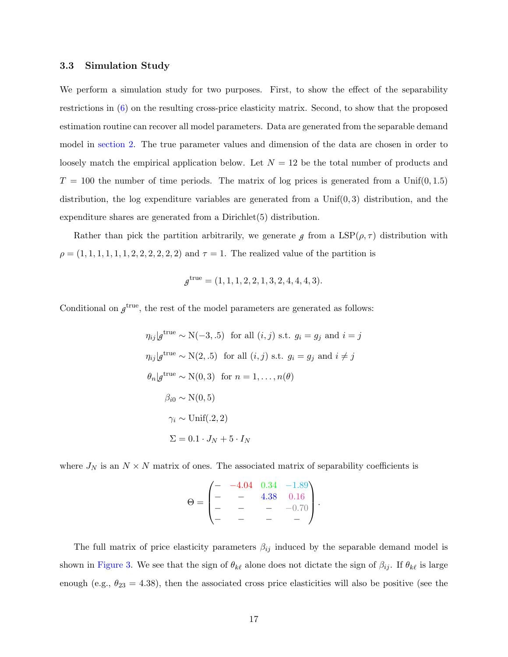#### 3.3 Simulation Study

We perform a simulation study for two purposes. First, to show the effect of the separability restrictions in [\(6\)](#page-9-0) on the resulting cross-price elasticity matrix. Second, to show that the proposed estimation routine can recover all model parameters. Data are generated from the separable demand model in [section 2.](#page-5-0) The true parameter values and dimension of the data are chosen in order to loosely match the empirical application below. Let  $N = 12$  be the total number of products and  $T = 100$  the number of time periods. The matrix of log prices is generated from a Unif(0,1.5) distribution, the log expenditure variables are generated from a  $Unif(0,3)$  distribution, and the expenditure shares are generated from a Dirichlet(5) distribution.

Rather than pick the partition arbitrarily, we generate  $g$  from a  $LSP(\rho, \tau)$  distribution with  $\rho = (1, 1, 1, 1, 1, 1, 2, 2, 2, 2, 2, 2)$  and  $\tau = 1$ . The realized value of the partition is

$$
g^{\text{true}} = (1, 1, 1, 2, 2, 1, 3, 2, 4, 4, 4, 3).
$$

Conditional on  $g^{\text{true}}$ , the rest of the model parameters are generated as follows:

$$
\eta_{ij}|g^{\text{true}} \sim \mathcal{N}(-3, .5) \text{ for all } (i, j) \text{ s.t. } g_i = g_j \text{ and } i = j
$$
  

$$
\eta_{ij}|g^{\text{true}} \sim \mathcal{N}(2, .5) \text{ for all } (i, j) \text{ s.t. } g_i = g_j \text{ and } i \neq j
$$
  

$$
\theta_n|g^{\text{true}} \sim \mathcal{N}(0, 3) \text{ for } n = 1, ..., n(\theta)
$$
  

$$
\beta_{i0} \sim \mathcal{N}(0, 5)
$$
  

$$
\gamma_i \sim \text{Unif}(.2, 2)
$$
  

$$
\Sigma = 0.1 \cdot J_N + 5 \cdot I_N
$$

where  $J_N$  is an  $N \times N$  matrix of ones. The associated matrix of separability coefficients is

$$
\Theta = \begin{pmatrix} - & -4.04 & 0.34 & -1.89 \\ - & - & 4.38 & 0.16 \\ - & - & - & -0.70 \\ - & - & - & - \end{pmatrix}.
$$

The full matrix of price elasticity parameters  $\beta_{ij}$  induced by the separable demand model is shown in [Figure 3.](#page-19-0) We see that the sign of  $\theta_{k\ell}$  alone does not dictate the sign of  $\beta_{ij}$ . If  $\theta_{k\ell}$  is large enough (e.g.,  $\theta_{23} = 4.38$ ), then the associated cross price elasticities will also be positive (see the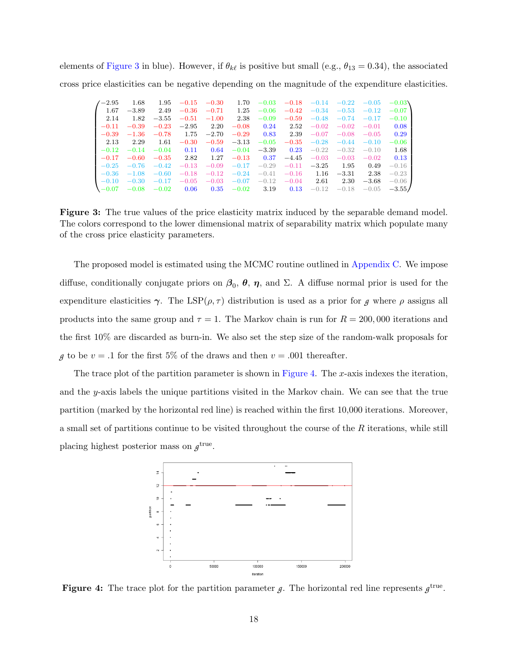<span id="page-19-0"></span>elements of [Figure 3](#page-19-0) in blue). However, if  $\theta_{k\ell}$  is positive but small (e.g.,  $\theta_{13} = 0.34$ ), the associated cross price elasticities can be negative depending on the magnitude of the expenditure elasticities.

| $^{\prime}-2.95$ | 1.68    | 1.95    | $-0.15$ | $-0.30$ | 1.70    | $-0.03$ | $-0.18$ | $-0.14$ | $-0.22$ | $-0.05$ | $-0.03\lambda$ |
|------------------|---------|---------|---------|---------|---------|---------|---------|---------|---------|---------|----------------|
| 1.67             | $-3.89$ | 2.49    | $-0.36$ | $-0.71$ | 1.25    | $-0.06$ | $-0.42$ | $-0.34$ | $-0.53$ | $-0.12$ | $-0.07$        |
| 2.14             | 1.82    | $-3.55$ | $-0.51$ | $-1.00$ | 2.38    | $-0.09$ | $-0.59$ | $-0.48$ | $-0.74$ | $-0.17$ | $-0.10$        |
| $-0.11$          | $-0.39$ | $-0.23$ | $-2.95$ | 2.20    | $-0.08$ | 0.24    | 2.52    | $-0.02$ | $-0.02$ | $-0.01$ | 0.08           |
| $-0.39$          | $-1.36$ | $-0.78$ | 1.75    | $-2.70$ | $-0.29$ | 0.83    | 2.39    | $-0.07$ | $-0.08$ | $-0.05$ | 0.29           |
| 2.13             | 2.29    | 1.61    | $-0.30$ | $-0.59$ | $-3.13$ | $-0.05$ | $-0.35$ | $-0.28$ | $-0.44$ | $-0.10$ | $-0.06$        |
| $-0.12$          | $-0.14$ | $-0.04$ | 0.11    | 0.64    | $-0.04$ | $-3.39$ | 0.23    | $-0.22$ | $-0.32$ | $-0.10$ | 1.68           |
| $-0.17$          | $-0.60$ | $-0.35$ | 2.82    | 1.27    | $-0.13$ | 0.37    | $-4.45$ | $-0.03$ | $-0.03$ | $-0.02$ | 0.13           |
| $-0.25$          | $-0.76$ | $-0.42$ | $-0.13$ | $-0.09$ | $-0.17$ | $-0.29$ | $-0.11$ | $-3.25$ | 1.95    | 0.49    | $-0.16$        |
| $-0.36$          | $-1.08$ | $-0.60$ | $-0.18$ | $-0.12$ | $-0.24$ | $-0.41$ | $-0.16$ | 1.16    | $-3.31$ | 2.38    | $-0.23$        |
| $-0.10$          | $-0.30$ | $-0.17$ | $-0.05$ | $-0.03$ | $-0.07$ | $-0.12$ | $-0.04$ | 2.61    | 2.30    | $-3.68$ | $-0.06$        |
| $. -0.07$        | $-0.08$ | $-0.02$ | 0.06    | 0.35    | $-0.02$ | 3.19    | 0.13    | $-0.12$ | $-0.18$ | $-0.05$ | $-3.55/$       |

Figure 3: The true values of the price elasticity matrix induced by the separable demand model. The colors correspond to the lower dimensional matrix of separability matrix which populate many of the cross price elasticity parameters.

The proposed model is estimated using the MCMC routine outlined in [Appendix C.](#page-34-0) We impose diffuse, conditionally conjugate priors on  $\beta_0$ ,  $\theta$ ,  $\eta$ , and  $\Sigma$ . A diffuse normal prior is used for the expenditure elasticities  $\gamma$ . The LSP( $\rho$ ,  $\tau$ ) distribution is used as a prior for *g* where  $\rho$  assigns all products into the same group and  $\tau = 1$ . The Markov chain is run for  $R = 200,000$  iterations and the first 10% are discarded as burn-in. We also set the step size of the random-walk proposals for *g* to be  $v = .1$  for the first 5% of the draws and then  $v = .001$  thereafter.

The trace plot of the partition parameter is shown in [Figure 4.](#page-19-1) The x-axis indexes the iteration, and the y-axis labels the unique partitions visited in the Markov chain. We can see that the true partition (marked by the horizontal red line) is reached within the first 10,000 iterations. Moreover, a small set of partitions continue to be visited throughout the course of the R iterations, while still placing highest posterior mass on  $g^{\text{true}}$ .

<span id="page-19-1"></span>

Figure 4: The trace plot for the partition parameter  $g$ . The horizontal red line represents  $g^{\text{true}}$ .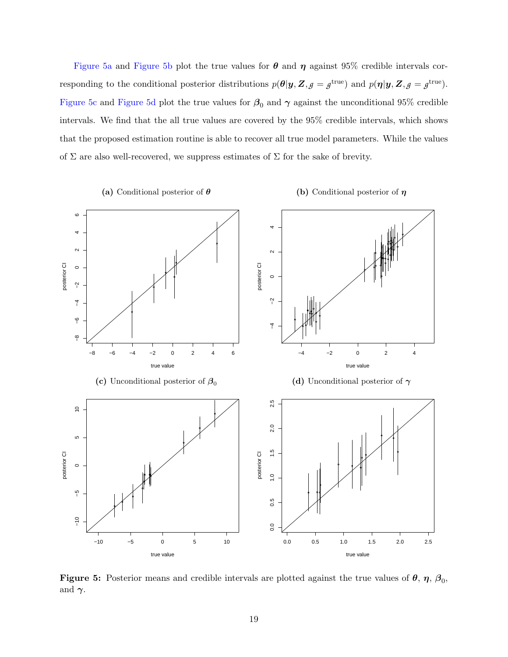[Figure 5a](#page-20-0) and [Figure 5b](#page-20-0) plot the true values for  $\theta$  and  $\eta$  against 95% credible intervals corresponding to the conditional posterior distributions  $p(\theta | y, Z, \rho = g^{\text{true}})$  and  $p(\eta | y, Z, \rho = g^{\text{true}})$ . [Figure 5c](#page-20-0) and [Figure 5d](#page-20-0) plot the true values for  $\beta_0$  and  $\gamma$  against the unconditional 95% credible intervals. We find that the all true values are covered by the 95% credible intervals, which shows that the proposed estimation routine is able to recover all true model parameters. While the values of  $\Sigma$  are also well-recovered, we suppress estimates of  $\Sigma$  for the sake of brevity.

<span id="page-20-0"></span>

Figure 5: Posterior means and credible intervals are plotted against the true values of  $\theta$ ,  $\eta$ ,  $\beta_0$ , and  $\gamma$ .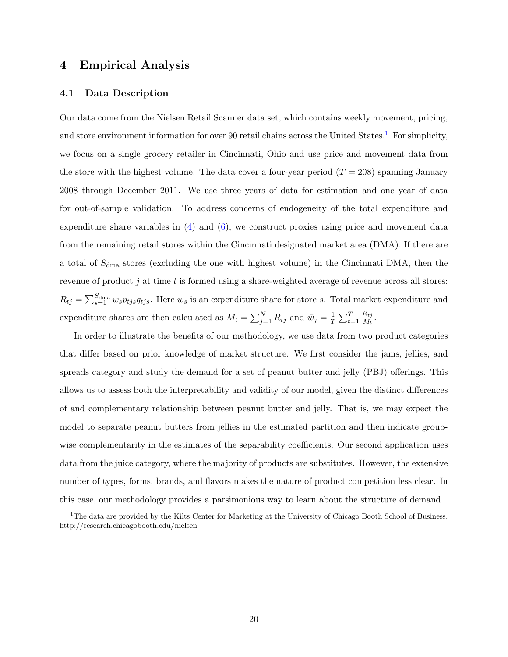### <span id="page-21-0"></span>4 Empirical Analysis

#### 4.1 Data Description

Our data come from the Nielsen Retail Scanner data set, which contains weekly movement, pricing, and store environment information for over 90 retail chains across the United States.<sup>[1](#page-0-0)</sup> For simplicity, we focus on a single grocery retailer in Cincinnati, Ohio and use price and movement data from the store with the highest volume. The data cover a four-year period  $(T = 208)$  spanning January 2008 through December 2011. We use three years of data for estimation and one year of data for out-of-sample validation. To address concerns of endogeneity of the total expenditure and expenditure share variables in  $(4)$  and  $(6)$ , we construct proxies using price and movement data from the remaining retail stores within the Cincinnati designated market area (DMA). If there are a total of  $S_{\text{dma}}$  stores (excluding the one with highest volume) in the Cincinnati DMA, then the revenue of product  $j$  at time  $t$  is formed using a share-weighted average of revenue across all stores:  $R_{tj} = \sum_{s=1}^{S_{\text{dma}}} w_s p_{tj} s q_{tj s}$ . Here  $w_s$  is an expenditure share for store s. Total market expenditure and expenditure shares are then calculated as  $M_t = \sum_{j=1}^{N} R_{tj}$  and  $\bar{w}_j = \frac{1}{T}$  $\frac{1}{T} \sum_{t=1}^T$  $R_{tj}$  $\frac{n_{tj}}{M_t}$  .

In order to illustrate the benefits of our methodology, we use data from two product categories that differ based on prior knowledge of market structure. We first consider the jams, jellies, and spreads category and study the demand for a set of peanut butter and jelly (PBJ) offerings. This allows us to assess both the interpretability and validity of our model, given the distinct differences of and complementary relationship between peanut butter and jelly. That is, we may expect the model to separate peanut butters from jellies in the estimated partition and then indicate groupwise complementarity in the estimates of the separability coefficients. Our second application uses data from the juice category, where the majority of products are substitutes. However, the extensive number of types, forms, brands, and flavors makes the nature of product competition less clear. In this case, our methodology provides a parsimonious way to learn about the structure of demand.

<sup>&</sup>lt;sup>1</sup>The data are provided by the Kilts Center for Marketing at the University of Chicago Booth School of Business. http://research.chicagobooth.edu/nielsen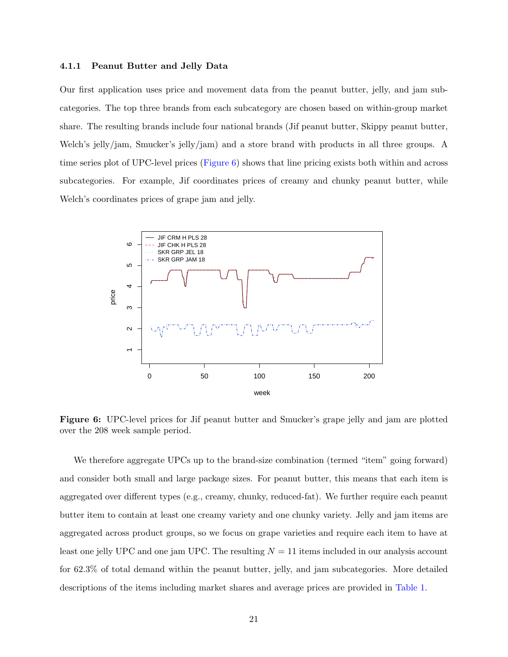#### 4.1.1 Peanut Butter and Jelly Data

Our first application uses price and movement data from the peanut butter, jelly, and jam subcategories. The top three brands from each subcategory are chosen based on within-group market share. The resulting brands include four national brands (Jif peanut butter, Skippy peanut butter, Welch's jelly/jam, Smucker's jelly/jam) and a store brand with products in all three groups. A time series plot of UPC-level prices [\(Figure 6\)](#page-22-0) shows that line pricing exists both within and across subcategories. For example, Jif coordinates prices of creamy and chunky peanut butter, while Welch's coordinates prices of grape jam and jelly.

<span id="page-22-0"></span>

Figure 6: UPC-level prices for Jif peanut butter and Smucker's grape jelly and jam are plotted over the 208 week sample period.

We therefore aggregate UPCs up to the brand-size combination (termed "item" going forward) and consider both small and large package sizes. For peanut butter, this means that each item is aggregated over different types (e.g., creamy, chunky, reduced-fat). We further require each peanut butter item to contain at least one creamy variety and one chunky variety. Jelly and jam items are aggregated across product groups, so we focus on grape varieties and require each item to have at least one jelly UPC and one jam UPC. The resulting  $N = 11$  items included in our analysis account for 62.3% of total demand within the peanut butter, jelly, and jam subcategories. More detailed descriptions of the items including market shares and average prices are provided in [Table 1.](#page-23-0)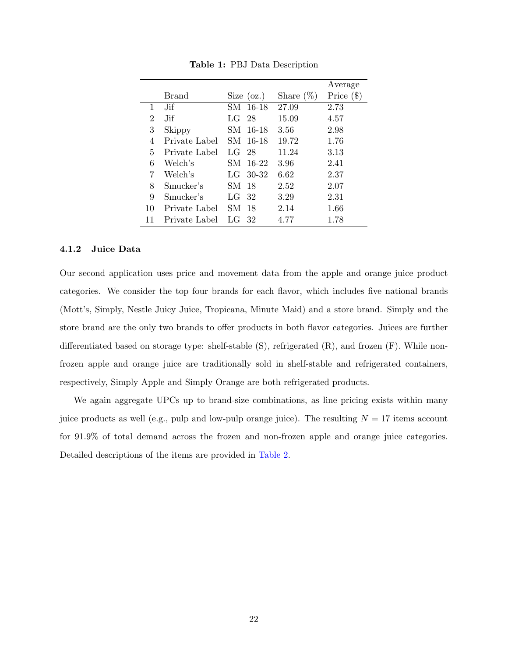<span id="page-23-0"></span>

|    |               |                 |              | Average      |
|----|---------------|-----------------|--------------|--------------|
|    | Brand         | Size $(oz.)$    | Share $(\%)$ | Price $(\$)$ |
| 1  | .Jif          | SM 16-18        | 27.09        | 2.73         |
| 2  | .Jif          | L G<br>- 28     | 15.09        | 4.57         |
| 3  | Skippy        | 16-18<br>SM-    | 3.56         | 2.98         |
| 4  | Private Label | SM -<br>16-18   | 19.72        | 1.76         |
| 5  | Private Label | LG<br>- 28      | 11.24        | 3.13         |
| 6  | Welch's       | $16-22$<br>SM-  | 3.96         | 2.41         |
| 7  | Welch's       | $30 - 32$<br>LG | 6.62         | 2.37         |
| 8  | Smucker's     | SM-<br>18       | 2.52         | 2.07         |
| 9  | Smucker's     | LG<br>32        | 3.29         | 2.31         |
| 10 | Private Label | SМ<br>18        | 2.14         | 1.66         |
| 11 | Private Label | 32<br>LG        | 4.77         | 1.78         |

Table 1: PBJ Data Description

#### 4.1.2 Juice Data

Our second application uses price and movement data from the apple and orange juice product categories. We consider the top four brands for each flavor, which includes five national brands (Mott's, Simply, Nestle Juicy Juice, Tropicana, Minute Maid) and a store brand. Simply and the store brand are the only two brands to offer products in both flavor categories. Juices are further differentiated based on storage type: shelf-stable (S), refrigerated (R), and frozen (F). While nonfrozen apple and orange juice are traditionally sold in shelf-stable and refrigerated containers, respectively, Simply Apple and Simply Orange are both refrigerated products.

We again aggregate UPCs up to brand-size combinations, as line pricing exists within many juice products as well (e.g., pulp and low-pulp orange juice). The resulting  $N = 17$  items account for 91.9% of total demand across the frozen and non-frozen apple and orange juice categories. Detailed descriptions of the items are provided in [Table 2.](#page-24-0)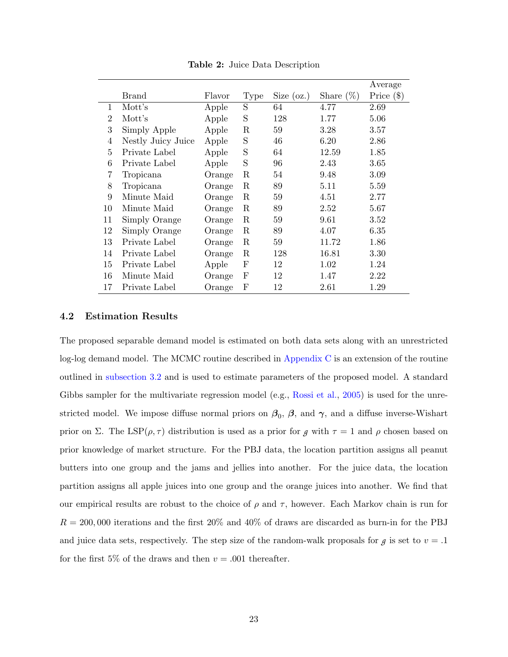<span id="page-24-0"></span>

|                |                    |        |      |              |              | Average      |
|----------------|--------------------|--------|------|--------------|--------------|--------------|
|                | <b>Brand</b>       | Flavor | Type | Size $(oz.)$ | Share $(\%)$ | Price $(\$)$ |
| 1              | Mott's             | Apple  | S    | 64           | 4.77         | 2.69         |
| $\overline{2}$ | Mott's             | Apple  | S    | 128          | 1.77         | 5.06         |
| 3              | Simply Apple       | Apple  | R    | 59           | 3.28         | 3.57         |
| 4              | Nestly Juicy Juice | Apple  | S    | 46           | 6.20         | 2.86         |
| $\overline{5}$ | Private Label      | Apple  | S    | 64           | 12.59        | 1.85         |
| 6              | Private Label      | Apple  | S    | 96           | 2.43         | 3.65         |
| 7              | Tropicana          | Orange | R    | 54           | 9.48         | 3.09         |
| 8              | Tropicana          | Orange | R    | 89           | 5.11         | 5.59         |
| 9              | Minute Maid        | Orange | R    | 59           | 4.51         | 2.77         |
| 10             | Minute Maid        | Orange | R    | 89           | 2.52         | 5.67         |
| 11             | Simply Orange      | Orange | R    | 59           | 9.61         | 3.52         |
| 12             | Simply Orange      | Orange | R    | 89           | 4.07         | 6.35         |
| 13             | Private Label      | Orange | R    | 59           | 11.72        | 1.86         |
| 14             | Private Label      | Orange | R    | 128          | 16.81        | $3.30\,$     |
| 15             | Private Label      | Apple  | F    | 12           | 1.02         | 1.24         |
| 16             | Minute Maid        | Orange | F    | 12           | 1.47         | 2.22         |
| 17             | Private Label      | Orange | F    | 12           | 2.61         | 1.29         |

Table 2: Juice Data Description

#### 4.2 Estimation Results

The proposed separable demand model is estimated on both data sets along with an unrestricted log-log demand model. The MCMC routine described in [Appendix C](#page-34-0) is an extension of the routine outlined in [subsection 3.2](#page-15-1) and is used to estimate parameters of the proposed model. A standard Gibbs sampler for the multivariate regression model (e.g., [Rossi et al.,](#page-38-7) [2005\)](#page-38-7) is used for the unrestricted model. We impose diffuse normal priors on  $\beta_0$ ,  $\beta$ , and  $\gamma$ , and a diffuse inverse-Wishart prior on Σ. The LSP( $\rho$ ,  $\tau$ ) distribution is used as a prior for *g* with  $\tau = 1$  and  $\rho$  chosen based on prior knowledge of market structure. For the PBJ data, the location partition assigns all peanut butters into one group and the jams and jellies into another. For the juice data, the location partition assigns all apple juices into one group and the orange juices into another. We find that our empirical results are robust to the choice of  $\rho$  and  $\tau$ , however. Each Markov chain is run for  $R = 200,000$  iterations and the first  $20\%$  and  $40\%$  of draws are discarded as burn-in for the PBJ and juice data sets, respectively. The step size of the random-walk proposals for  $g$  is set to  $v = .1$ for the first 5% of the draws and then  $v = .001$  thereafter.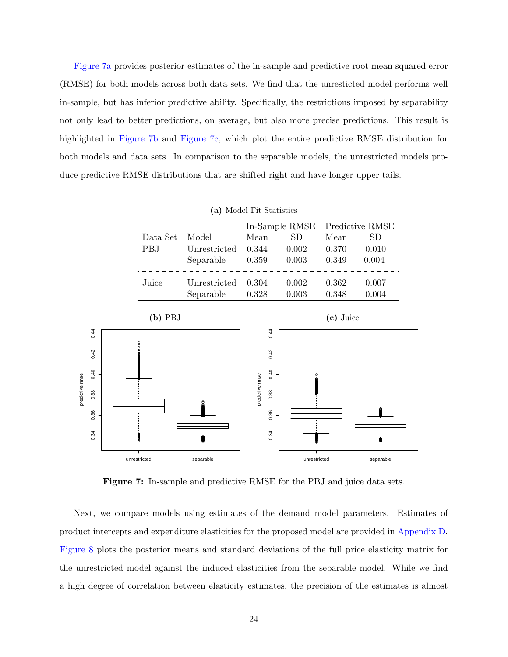[Figure 7a](#page-25-0) provides posterior estimates of the in-sample and predictive root mean squared error (RMSE) for both models across both data sets. We find that the unresticted model performs well in-sample, but has inferior predictive ability. Specifically, the restrictions imposed by separability not only lead to better predictions, on average, but also more precise predictions. This result is highlighted in [Figure 7b](#page-25-0) and [Figure 7c,](#page-25-0) which plot the entire predictive RMSE distribution for both models and data sets. In comparison to the separable models, the unrestricted models produce predictive RMSE distributions that are shifted right and have longer upper tails.

<span id="page-25-0"></span>

|                 |      | (a) Model Fit Statistics |              |                 |      |                |           |                 |  |  |  |
|-----------------|------|--------------------------|--------------|-----------------|------|----------------|-----------|-----------------|--|--|--|
|                 |      |                          |              |                 |      | In-Sample RMSE |           | Predictive RMSE |  |  |  |
|                 |      | Data Set                 | Model        | Mean            |      | <b>SD</b>      | Mean      | SD              |  |  |  |
|                 |      | PBJ                      | Unrestricted | 0.344           |      | 0.002          | 0.370     | 0.010           |  |  |  |
|                 |      |                          | Separable    | 0.359           |      | 0.003          | 0.349     | 0.004           |  |  |  |
|                 |      | Juice                    | Unrestricted | 0.304           |      | $0.002\,$      | 0.362     | 0.007           |  |  |  |
|                 |      |                          | Separable    | 0.328           |      | 0.003          | 0.348     | 0.004           |  |  |  |
|                 |      | $(b)$ PBJ                |              |                 |      |                | (c) Juice |                 |  |  |  |
|                 | 0.44 |                          |              |                 | 0.44 |                |           |                 |  |  |  |
|                 | 0.42 | 80                       |              |                 | 0.42 |                |           |                 |  |  |  |
|                 | 0.40 |                          |              |                 | 0.40 | O              |           |                 |  |  |  |
| predictive rmse | 0.38 |                          |              | predictive rmse | 0.38 |                |           |                 |  |  |  |
|                 | 0.36 |                          |              |                 | 0.36 |                |           |                 |  |  |  |
|                 | 0.34 |                          |              |                 | 0.34 | В              |           |                 |  |  |  |
|                 |      | unrestricted             | separable    |                 |      | unrestricted   |           | separable       |  |  |  |

Figure 7: In-sample and predictive RMSE for the PBJ and juice data sets.

Next, we compare models using estimates of the demand model parameters. Estimates of product intercepts and expenditure elasticities for the proposed model are provided in [Appendix D.](#page-35-0) [Figure 8](#page-26-0) plots the posterior means and standard deviations of the full price elasticity matrix for the unrestricted model against the induced elasticities from the separable model. While we find a high degree of correlation between elasticity estimates, the precision of the estimates is almost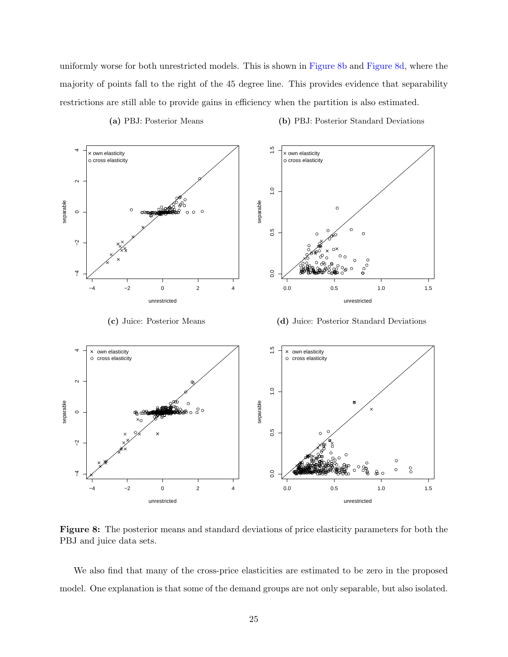uniformly worse for both unrestricted models. This is shown in [Figure 8b](#page-26-0) and [Figure 8d,](#page-26-0) where the majority of points fall to the right of the 45 degree line. This provides evidence that separability restrictions are still able to provide gains in efficiency when the partition is also estimated.

<span id="page-26-0"></span>

(a) PBJ: Posterior Means

(b) PBJ: Posterior Standard Deviations

(c) Juice: Posterior Means

(d) Juice: Posterior Standard Deviations



Figure 8: The posterior means and standard deviations of price elasticity parameters for both the PBJ and juice data sets.

We also find that many of the cross-price elasticities are estimated to be zero in the proposed model. One explanation is that some of the demand groups are not only separable, but also isolated.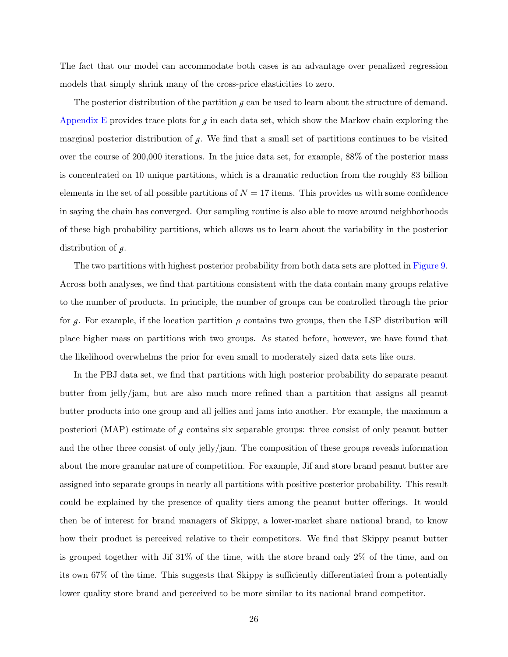The fact that our model can accommodate both cases is an advantage over penalized regression models that simply shrink many of the cross-price elasticities to zero.

The posterior distribution of the partition *g* can be used to learn about the structure of demand. [Appendix E](#page-36-0) provides trace plots for  $g$  in each data set, which show the Markov chain exploring the marginal posterior distribution of  $g$ . We find that a small set of partitions continues to be visited over the course of 200,000 iterations. In the juice data set, for example, 88% of the posterior mass is concentrated on 10 unique partitions, which is a dramatic reduction from the roughly 83 billion elements in the set of all possible partitions of  $N = 17$  items. This provides us with some confidence in saying the chain has converged. Our sampling routine is also able to move around neighborhoods of these high probability partitions, which allows us to learn about the variability in the posterior distribution of g.

The two partitions with highest posterior probability from both data sets are plotted in [Figure 9.](#page-28-0) Across both analyses, we find that partitions consistent with the data contain many groups relative to the number of products. In principle, the number of groups can be controlled through the prior for *g*. For example, if the location partition  $\rho$  contains two groups, then the LSP distribution will place higher mass on partitions with two groups. As stated before, however, we have found that the likelihood overwhelms the prior for even small to moderately sized data sets like ours.

In the PBJ data set, we find that partitions with high posterior probability do separate peanut butter from jelly/jam, but are also much more refined than a partition that assigns all peanut butter products into one group and all jellies and jams into another. For example, the maximum a posteriori (MAP) estimate of  $g$  contains six separable groups: three consist of only peanut butter and the other three consist of only jelly/jam. The composition of these groups reveals information about the more granular nature of competition. For example, Jif and store brand peanut butter are assigned into separate groups in nearly all partitions with positive posterior probability. This result could be explained by the presence of quality tiers among the peanut butter offerings. It would then be of interest for brand managers of Skippy, a lower-market share national brand, to know how their product is perceived relative to their competitors. We find that Skippy peanut butter is grouped together with Jif 31% of the time, with the store brand only 2% of the time, and on its own 67% of the time. This suggests that Skippy is sufficiently differentiated from a potentially lower quality store brand and perceived to be more similar to its national brand competitor.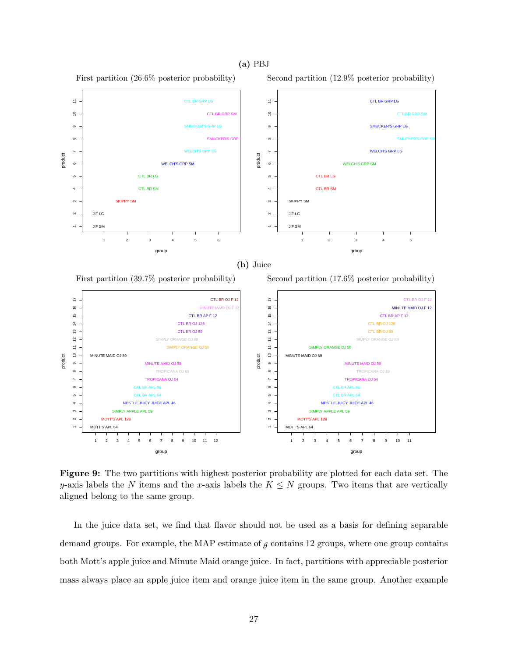#### (a) PBJ



<span id="page-28-0"></span>First partition (26.6% posterior probability)



Figure 9: The two partitions with highest posterior probability are plotted for each data set. The y-axis labels the N items and the x-axis labels the  $K \leq N$  groups. Two items that are vertically aligned belong to the same group.

In the juice data set, we find that flavor should not be used as a basis for defining separable demand groups. For example, the MAP estimate of *g* contains 12 groups, where one group contains both Mott's apple juice and Minute Maid orange juice. In fact, partitions with appreciable posterior mass always place an apple juice item and orange juice item in the same group. Another example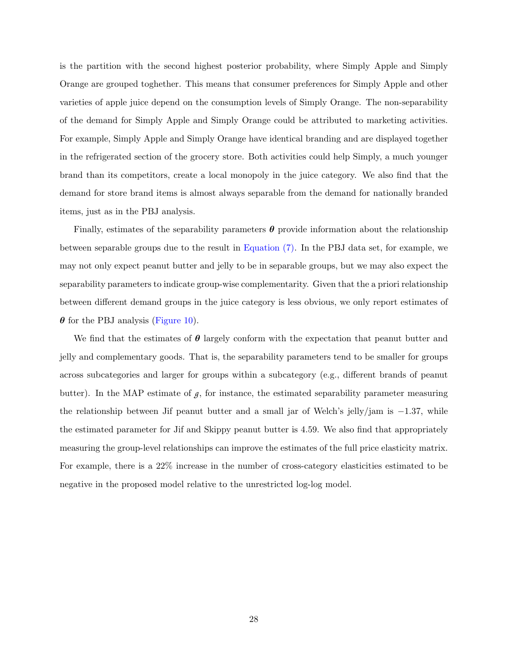is the partition with the second highest posterior probability, where Simply Apple and Simply Orange are grouped toghether. This means that consumer preferences for Simply Apple and other varieties of apple juice depend on the consumption levels of Simply Orange. The non-separability of the demand for Simply Apple and Simply Orange could be attributed to marketing activities. For example, Simply Apple and Simply Orange have identical branding and are displayed together in the refrigerated section of the grocery store. Both activities could help Simply, a much younger brand than its competitors, create a local monopoly in the juice category. We also find that the demand for store brand items is almost always separable from the demand for nationally branded items, just as in the PBJ analysis.

Finally, estimates of the separability parameters  $\theta$  provide information about the relationship between separable groups due to the result in [Equation \(7\).](#page-9-3) In the PBJ data set, for example, we may not only expect peanut butter and jelly to be in separable groups, but we may also expect the separability parameters to indicate group-wise complementarity. Given that the a priori relationship between different demand groups in the juice category is less obvious, we only report estimates of  $\theta$  for the PBJ analysis [\(Figure 10\)](#page-30-1).

We find that the estimates of  $\theta$  largely conform with the expectation that peanut butter and jelly and complementary goods. That is, the separability parameters tend to be smaller for groups across subcategories and larger for groups within a subcategory (e.g., different brands of peanut butter). In the MAP estimate of  $g$ , for instance, the estimated separability parameter measuring the relationship between Jif peanut butter and a small jar of Welch's jelly/jam is  $-1.37$ , while the estimated parameter for Jif and Skippy peanut butter is 4.59. We also find that appropriately measuring the group-level relationships can improve the estimates of the full price elasticity matrix. For example, there is a 22% increase in the number of cross-category elasticities estimated to be negative in the proposed model relative to the unrestricted log-log model.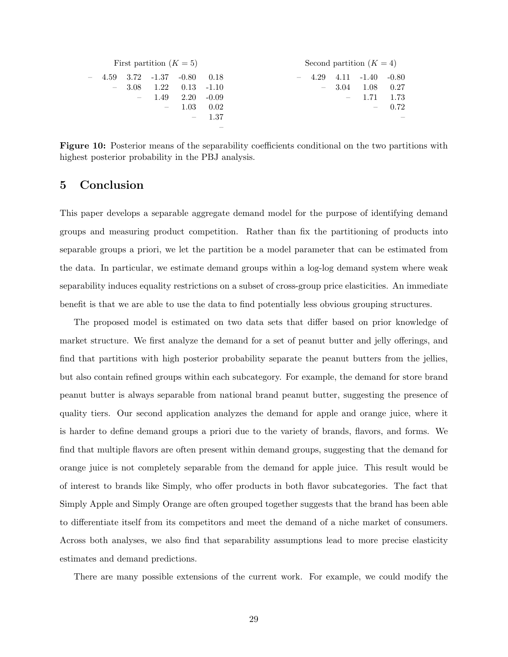<span id="page-30-1"></span>

| First partition $(K = 5)$ |                          |                                 |                               |               |         | Second partition $(K = 4)$ |      |      |                    |      |  |  |
|---------------------------|--------------------------|---------------------------------|-------------------------------|---------------|---------|----------------------------|------|------|--------------------|------|--|--|
| $\overline{\phantom{a}}$  |                          |                                 | $4.59$ $3.72$ $-1.37$ $-0.80$ |               | 0.18    | $\overline{\phantom{m}}$   | 4.29 |      | $4.11 -1.40 -0.80$ |      |  |  |
|                           | $\overline{\phantom{a}}$ | 3.08                            | 1.22                          | $0.13 - 1.10$ |         |                            | $-$  | 3.04 | 1.08               | 0.27 |  |  |
|                           |                          | $\hspace{0.1mm}-\hspace{0.1mm}$ | 1.49                          | 2.20          | $-0.09$ |                            |      |      | 1.71               | 1.73 |  |  |
|                           |                          |                                 | $ \,$                         | 1.03          | 0.02    |                            |      |      | $\sim$             | 0.72 |  |  |
|                           |                          |                                 |                               | $\sim$        | 1.37    |                            |      |      |                    |      |  |  |
|                           |                          |                                 |                               |               |         |                            |      |      |                    |      |  |  |

Figure 10: Posterior means of the separability coefficients conditional on the two partitions with highest posterior probability in the PBJ analysis.

### <span id="page-30-0"></span>5 Conclusion

This paper develops a separable aggregate demand model for the purpose of identifying demand groups and measuring product competition. Rather than fix the partitioning of products into separable groups a priori, we let the partition be a model parameter that can be estimated from the data. In particular, we estimate demand groups within a log-log demand system where weak separability induces equality restrictions on a subset of cross-group price elasticities. An immediate benefit is that we are able to use the data to find potentially less obvious grouping structures.

The proposed model is estimated on two data sets that differ based on prior knowledge of market structure. We first analyze the demand for a set of peanut butter and jelly offerings, and find that partitions with high posterior probability separate the peanut butters from the jellies, but also contain refined groups within each subcategory. For example, the demand for store brand peanut butter is always separable from national brand peanut butter, suggesting the presence of quality tiers. Our second application analyzes the demand for apple and orange juice, where it is harder to define demand groups a priori due to the variety of brands, flavors, and forms. We find that multiple flavors are often present within demand groups, suggesting that the demand for orange juice is not completely separable from the demand for apple juice. This result would be of interest to brands like Simply, who offer products in both flavor subcategories. The fact that Simply Apple and Simply Orange are often grouped together suggests that the brand has been able to differentiate itself from its competitors and meet the demand of a niche market of consumers. Across both analyses, we also find that separability assumptions lead to more precise elasticity estimates and demand predictions.

There are many possible extensions of the current work. For example, we could modify the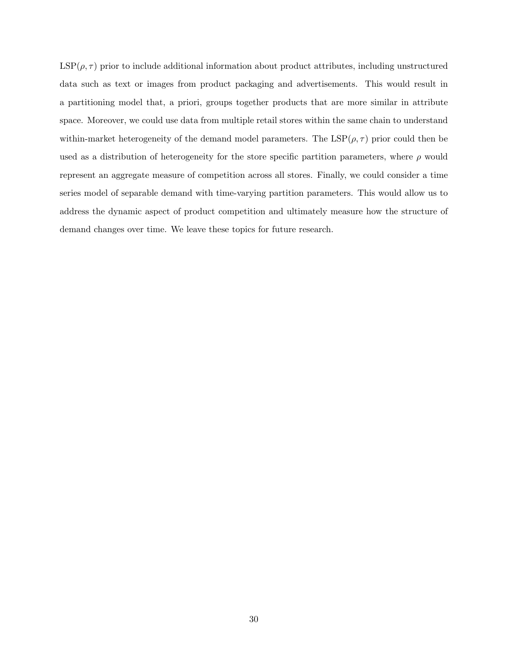$\text{LSP}(\rho, \tau)$  prior to include additional information about product attributes, including unstructured data such as text or images from product packaging and advertisements. This would result in a partitioning model that, a priori, groups together products that are more similar in attribute space. Moreover, we could use data from multiple retail stores within the same chain to understand within-market heterogeneity of the demand model parameters. The  $LSP(\rho, \tau)$  prior could then be used as a distribution of heterogeneity for the store specific partition parameters, where  $\rho$  would represent an aggregate measure of competition across all stores. Finally, we could consider a time series model of separable demand with time-varying partition parameters. This would allow us to address the dynamic aspect of product competition and ultimately measure how the structure of demand changes over time. We leave these topics for future research.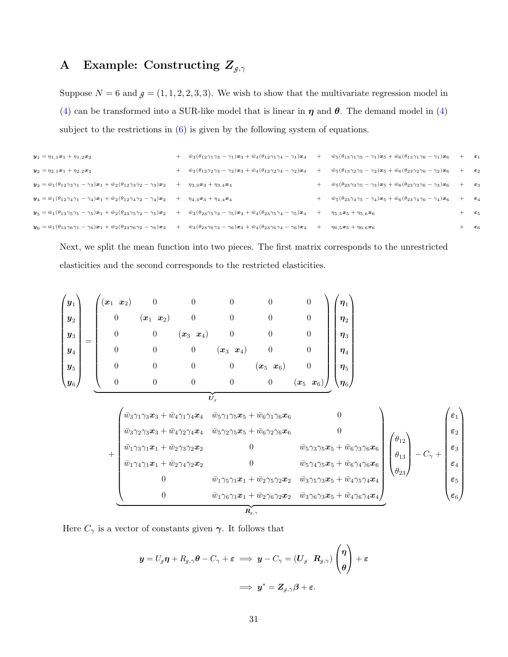# <span id="page-32-0"></span>A Example: Constructing  $Z_{g,\gamma}$

Suppose  $N = 6$  and  $g = (1, 1, 2, 2, 3, 3)$ . We wish to show that the multivariate regression model in [\(4\)](#page-8-0) can be transformed into a SUR-like model that is linear in  $\eta$  and  $\theta$ . The demand model in (4) subject to the restrictions in  $(6)$  is given by the following system of equations.

| $y_1 = \eta_{1,1}x_1 + \eta_{1,2}x_2$                                                                                                                                                                                               |                                                                                                                    |        | $+\overline{w}_3(\theta_{12}\gamma_1\gamma_3-\gamma_1)x_3+\overline{w}_4(\theta_{12}\gamma_1\gamma_4-\gamma_1)x_4 +\overline{w}_5(\theta_{13}\gamma_1\gamma_5-\gamma_1)x_5+\overline{w}_6(\theta_{13}\gamma_1\gamma_6-\gamma_1)x_6$ | $+\epsilon_1$    |                   |
|-------------------------------------------------------------------------------------------------------------------------------------------------------------------------------------------------------------------------------------|--------------------------------------------------------------------------------------------------------------------|--------|-------------------------------------------------------------------------------------------------------------------------------------------------------------------------------------------------------------------------------------|------------------|-------------------|
| $y_2 = \eta_{2,1}x_1 + \eta_{2,2}x_2$                                                                                                                                                                                               | $+\bar{w}_3(\theta_{12}\gamma_2\gamma_3-\gamma_2)\bm{x}_3+\bar{w}_4(\theta_{12}\gamma_2\gamma_4-\gamma_2)\bm{x}_4$ | $^{+}$ | $\bar{w}_5(\theta_{13}\gamma_2\gamma_5-\gamma_2)\bm{x}_5+\bar{w}_6(\theta_{23}\gamma_2\gamma_6-\gamma_2)\bm{x}_6$                                                                                                                   | $+\varepsilon_2$ |                   |
| $\mathbf{y}_3 = \bar{w}_1(\theta_{12}\gamma_3\gamma_1 - \gamma_3)\mathbf{x}_1 + \bar{w}_2(\theta_{12}\gamma_3\gamma_2 - \gamma_3)\mathbf{x}_2$                                                                                      | $+$ $\eta_{3,3}x_3 + \eta_{3,4}x_4$                                                                                |        | $\bar{w}_5(\theta_{23}\gamma_3\gamma_5-\gamma_3)\bm{x}_5+\bar{w}_6(\theta_{23}\gamma_3\gamma_6-\gamma_3)\bm{x}_6$                                                                                                                   | $+\epsilon_3$    |                   |
| $y_4 = \bar{w}_1(\theta_{12}\gamma_4\gamma_1 - \gamma_4)x_1 + \bar{w}_2(\theta_{12}\gamma_4\gamma_2 - \gamma_4)x_2 + \eta_{4,3}x_3 + \eta_{4,4}x_4$                                                                                 |                                                                                                                    |        | $\bar{w}_5(\theta_{23}\gamma_4\gamma_5-\gamma_4)\bm{x}_5+\bar{w}_6(\theta_{23}\gamma_4\gamma_6-\gamma_4)\bm{x}_6$                                                                                                                   | $+\epsilon_4$    |                   |
| $y_5 = \bar{w}_1(\theta_{13}\gamma_5\gamma_1 - \gamma_5)x_1 + \bar{w}_2(\theta_{23}\gamma_5\gamma_2 - \gamma_5)x_2 + \bar{w}_3(\theta_{23}\gamma_5\gamma_3 - \gamma_5)x_3 + \bar{w}_4(\theta_{23}\gamma_5\gamma_4 - \gamma_5)x_4$   |                                                                                                                    |        | $\eta_{5.5}$ $\boldsymbol{x}_5 + \eta_{5.6}$ $\boldsymbol{x}_6$                                                                                                                                                                     |                  | $\varepsilon_{5}$ |
| $y_6 = \bar{w}_1(\theta_{13}\gamma_6\gamma_1 - \gamma_6)x_1 + \bar{w}_2(\theta_{23}\gamma_6\gamma_2 - \gamma_6)x_2 + \bar{w}_3(\theta_{23}\gamma_6\gamma_3 - \gamma_6)x_3 + \bar{w}_4(\theta_{23}\gamma_6\gamma_4 - \gamma_6)x_4 +$ |                                                                                                                    |        | $\eta_{6.5}$ $\boldsymbol{x}_5 + \eta_{6.6}$ $\boldsymbol{x}_6$                                                                                                                                                                     |                  | $\varepsilon_6$   |

Next, we split the mean function into two pieces. The first matrix corresponds to the unrestricted elasticities and the second corresponds to the restricted elasticities.

$$
\begin{pmatrix}\ny_1 \\
y_2 \\
y_3 \\
y_4 \\
y_5 \\
y_6\n\end{pmatrix} = \begin{pmatrix}\n(x_1 & x_2) & 0 & 0 & 0 & 0 & 0 \\
0 & (x_1 & x_2) & 0 & 0 & 0 & 0 \\
0 & 0 & (x_3 & x_4) & 0 & 0 & 0 \\
0 & 0 & 0 & (x_3 & x_4) & 0 & 0 \\
0 & 0 & 0 & 0 & (x_5 & x_6) & 0 \\
0 & 0 & 0 & 0 & 0 & (x_5 & x_6)\n\end{pmatrix}\n\begin{pmatrix}\n\eta_1 \\
\eta_2 \\
\eta_3 \\
\eta_4 \\
\eta_5 \\
\eta_6\n\end{pmatrix}
$$
\n
$$
+ \begin{pmatrix}\n\bar{w}_3\gamma_1\gamma_3x_3 + \bar{w}_4\gamma_1\gamma_4x_4 & \bar{w}_5\gamma_1\gamma_5x_5 + \bar{w}_6\gamma_1\gamma_6x_6 & 0 \\
\bar{w}_3\gamma_2\gamma_3x_3 + \bar{w}_4\gamma_2\gamma_4x_4 & \bar{w}_5\gamma_2\gamma_5x_5 + \bar{w}_6\gamma_2\gamma_6x_6 & 0 \\
\bar{w}_1\gamma_3\gamma_1x_1 + \bar{w}_2\gamma_3\gamma_2x_2 & 0 & \bar{w}_5\gamma_3\gamma_5x_5 + \bar{w}_6\gamma_3\gamma_6x_6 \\
\bar{w}_1\gamma_4\gamma_1x_1 + \bar{w}_2\gamma_4\gamma_2x_2 & 0 & \bar{w}_5\gamma_4\gamma_5x_5 + \bar{w}_6\gamma_4\gamma_6x_6 \\
0 & \bar{w}_1\gamma_5\gamma_1x_1 + \bar{w}_2\gamma_5\gamma_2x_2 & \bar{w}_3\gamma_5\gamma_3x_5 + \bar{w}_4\gamma_5\gamma_4x_4 \\
0 & \bar{w}_1\gamma_6\gamma_1x_1 + \bar{w}_2\gamma_6\gamma_2x_2 & \bar{w}_3\gamma_6\gamma_3x_5 + \bar{w}_4\gamma_6\gamma_4x_4\n\end{pmatrix}
$$

Here  $C_{\gamma}$  is a vector of constants given  $\gamma$ . It follows that

$$
\begin{array}{lll} \displaystyle y=U_g\boldsymbol{\eta}+R_{g,\gamma}\boldsymbol{\theta}-C_{\gamma}+\boldsymbol{\varepsilon} & \Longrightarrow & \displaystyle y-C_{\gamma}=(\boldsymbol{U}_g\left|\boldsymbol{R}_{g,\gamma}\right)\begin{pmatrix}\boldsymbol{\eta}\\\boldsymbol{\theta}\end{pmatrix}+\boldsymbol{\varepsilon}\\ \\ \displaystyle \Longrightarrow & \displaystyle y^*= \boldsymbol{Z}_{g,\gamma}\boldsymbol{\beta}+\boldsymbol{\varepsilon}.\end{array}
$$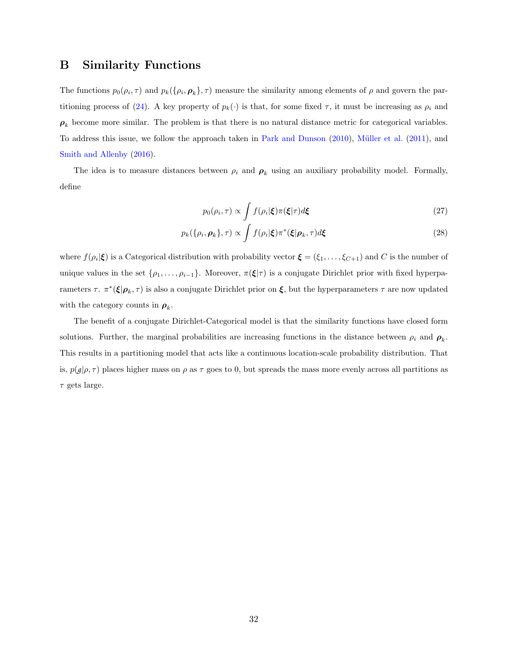### <span id="page-33-0"></span>B Similarity Functions

The functions  $p_0(\rho_i, \tau)$  and  $p_k(\{\rho_i, \rho_k\}, \tau)$  measure the similarity among elements of  $\rho$  and govern the par-titioning process of [\(24\)](#page-14-0). A key property of  $p_k(\cdot)$  is that, for some fixed  $\tau$ , it must be increasing as  $\rho_i$  and  $\rho_k$  become more similar. The problem is that there is no natural distance metric for categorical variables. To address this issue, we follow the approach taken in [Park and Dunson](#page-38-8) [\(2010\)](#page-38-8), [M¨uller et al.](#page-37-14) [\(2011\)](#page-37-14), and [Smith and Allenby](#page-38-3) [\(2016\)](#page-38-3).

The idea is to measure distances between  $\rho_i$  and  $\rho_k$  using an auxiliary probability model. Formally, define

$$
p_0(\rho_i, \tau) \propto \int f(\rho_i|\boldsymbol{\xi}) \pi(\boldsymbol{\xi}|\tau) d\boldsymbol{\xi}
$$
 (27)

$$
p_k(\{\rho_i, \boldsymbol{\rho}_k\}, \tau) \propto \int f(\rho_i|\boldsymbol{\xi}) \pi^*(\boldsymbol{\xi}|\boldsymbol{\rho}_k, \tau) d\boldsymbol{\xi}
$$
\n(28)

where  $f(\rho_i|\boldsymbol{\xi})$  is a Categorical distribution with probability vector  $\boldsymbol{\xi} = (\xi_1,\ldots,\xi_{C+1})$  and C is the number of unique values in the set  $\{\rho_1,\ldots,\rho_{i-1}\}$ . Moreover,  $\pi(\xi|\tau)$  is a conjugate Dirichlet prior with fixed hyperparameters  $\tau$ .  $\pi^*(\xi|\rho_k, \tau)$  is also a conjugate Dirichlet prior on  $\xi$ , but the hyperparameters  $\tau$  are now updated with the category counts in  $\rho_k$ .

The benefit of a conjugate Dirichlet-Categorical model is that the similarity functions have closed form solutions. Further, the marginal probabilities are increasing functions in the distance between  $\rho_i$  and  $\rho_k$ . This results in a partitioning model that acts like a continuous location-scale probability distribution. That is,  $p(g|\rho,\tau)$  places higher mass on  $\rho$  as  $\tau$  goes to 0, but spreads the mass more evenly across all partitions as  $\tau$  gets large.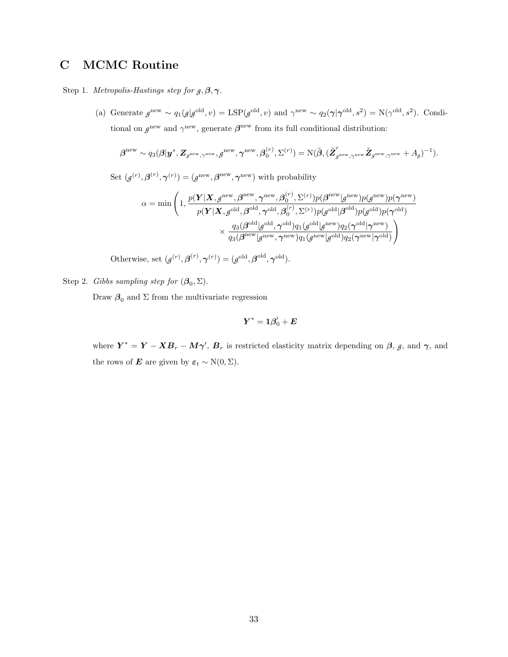## <span id="page-34-0"></span>C MCMC Routine

Step 1. *Metropolis-Hastings step for*  $g, \beta, \gamma$ *.* 

(a) Generate  $g^{\text{new}} \sim q_1(g|g^{\text{old}}, v) = \text{LSP}(g^{\text{old}}, v)$  and  $\gamma^{\text{new}} \sim q_2(\gamma|\gamma^{\text{old}}, s^2) = \text{N}(\gamma^{\text{old}}, s^2)$ . Conditional on  $g^{\text{new}}$  and  $\gamma^{\text{new}}$ , generate  $\beta^{\text{new}}$  from its full conditional distribution:

$$
\boldsymbol{\beta}^{\text{new}} \sim q_3(\boldsymbol{\beta}|\boldsymbol{y}^*, \boldsymbol{Z}_{\boldsymbol{\beta}^{\text{new}},\boldsymbol{\gamma}^{\text{new}}},\boldsymbol{g}^{\text{new}},\boldsymbol{\gamma}^{\text{new}},\boldsymbol{\beta}_0^{(r)},\boldsymbol{\Sigma}^{(r)}) = \mathrm{N}(\tilde{\boldsymbol{\beta}}, (\tilde{\boldsymbol{Z}}_{\boldsymbol{\beta}^{\text{new}},\boldsymbol{\gamma}^{\text{new}}}\tilde{\boldsymbol{Z}}_{\boldsymbol{\beta}^{\text{new}},\boldsymbol{\gamma}^{\text{new}}} + A_{\boldsymbol{\beta}})^{-1}).
$$

Set  $(g^{(r)}, \beta^{(r)}, \gamma^{(r)}) = (g^{\text{new}}, \beta^{\text{new}}, \gamma^{\text{new}})$  with probability

$$
\begin{aligned} \alpha = \min \Bigg(1, & \frac{p(\boldsymbol{Y}|\boldsymbol{X},g^{\text{new}},\boldsymbol{\beta}^{\text{new}},\boldsymbol{\gamma}^{\text{new}},\boldsymbol{\beta}_0^{(r)},\Sigma^{(r)})p(\boldsymbol{\beta}^{\text{new}}|g^{\text{new}})p(g^{\text{new}})p(\boldsymbol{\gamma}^{\text{new}})}{p(\boldsymbol{Y}|\boldsymbol{X},g^{\text{old}},\boldsymbol{\beta}^{\text{old}},\boldsymbol{\gamma}^{\text{old}},\boldsymbol{\beta}_0^{(r)},\Sigma^{(r)})p(g^{\text{old}}|\boldsymbol{\beta}^{\text{old}})p(g^{\text{old}})p(\boldsymbol{\gamma}^{\text{old}})}\\ &\times \frac{q_3(\boldsymbol{\beta}^{\text{old}}|g^{\text{old}},\boldsymbol{\gamma}^{\text{old}})q_1(g^{\text{old}}|g^{\text{new}})q_2(\boldsymbol{\gamma}^{\text{old}}|\boldsymbol{\gamma}^{\text{new}})}{q_3(\boldsymbol{\beta}^{\text{new}}|g^{\text{new}},\boldsymbol{\gamma}^{\text{new}})q_1(g^{\text{new}}|g^{\text{old}})q_2(\boldsymbol{\gamma}^{\text{new}}|\boldsymbol{\gamma}^{\text{old}})}\Bigg) \end{aligned}
$$

Otherwise, set  $(g^{(r)}, \beta^{(r)}, \gamma^{(r)}) = (g^{\text{old}}, \beta^{\text{old}}, \gamma^{\text{old}}).$ 

Step 2. Gibbs sampling step for  $(\mathcal{B}_0, \Sigma)$ .

Draw  $\beta_0$  and  $\Sigma$  from the multivariate regression

$$
\bm{Y}^* = \bm{1} \bm{\beta}_0' + \bm{E}
$$

where  $Y^* = Y - XB_r - M\gamma'$ ,  $B_r$  is restricted elasticity matrix depending on  $\beta$ ,  $\beta$ , and  $\gamma$ , and the rows of **E** are given by  $\varepsilon_t \sim N(0, \Sigma)$ .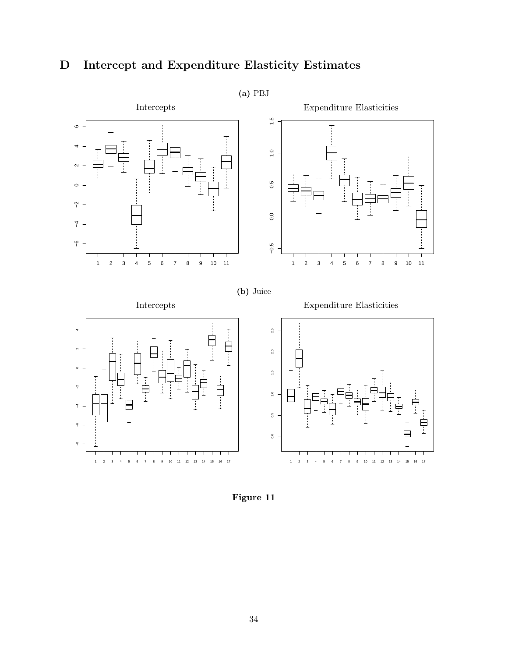# <span id="page-35-0"></span>D Intercept and Expenditure Elasticity Estimates



Figure 11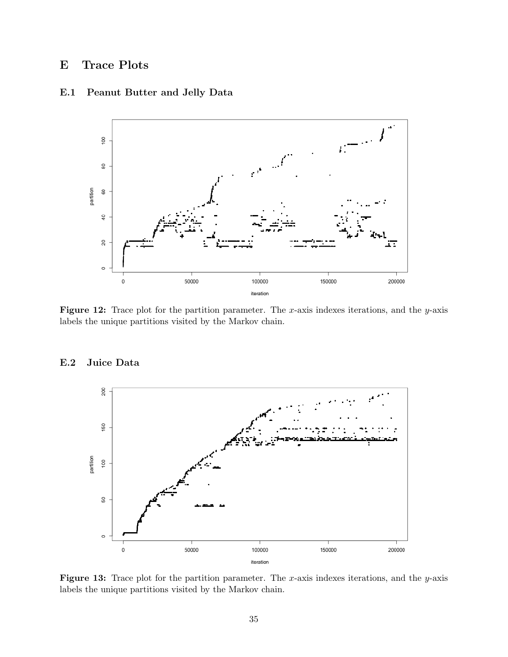## <span id="page-36-0"></span>E Trace Plots



### E.1 Peanut Butter and Jelly Data

Figure 12: Trace plot for the partition parameter. The x-axis indexes iterations, and the y-axis labels the unique partitions visited by the Markov chain.



### E.2 Juice Data

**Figure 13:** Trace plot for the partition parameter. The x-axis indexes iterations, and the y-axis labels the unique partitions visited by the Markov chain.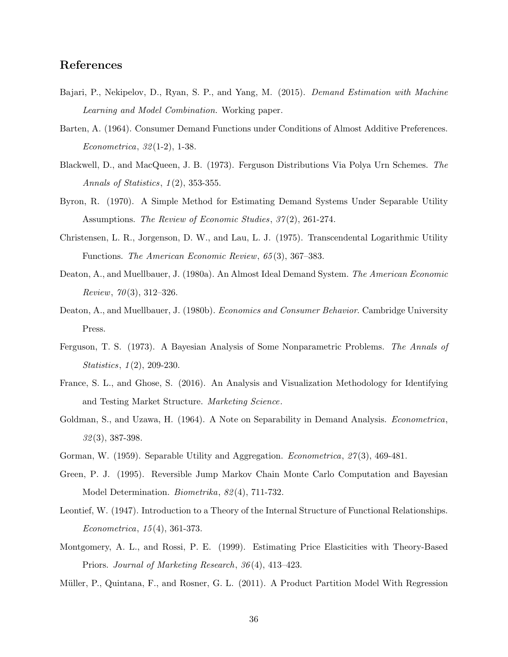### References

- <span id="page-37-5"></span>Bajari, P., Nekipelov, D., Ryan, S. P., and Yang, M. (2015). Demand Estimation with Machine Learning and Model Combination. Working paper.
- <span id="page-37-1"></span>Barten, A. (1964). Consumer Demand Functions under Conditions of Almost Additive Preferences. Econometrica, 32 (1-2), 1-38.
- <span id="page-37-11"></span>Blackwell, D., and MacQueen, J. B. (1973). Ferguson Distributions Via Polya Urn Schemes. The Annals of Statistics,  $1(2)$ , 353-355.
- <span id="page-37-2"></span>Byron, R. (1970). A Simple Method for Estimating Demand Systems Under Separable Utility Assumptions. The Review of Economic Studies, 37(2), 261-274.
- <span id="page-37-9"></span>Christensen, L. R., Jorgenson, D. W., and Lau, L. J. (1975). Transcendental Logarithmic Utility Functions. The American Economic Review, 65 (3), 367–383.
- <span id="page-37-10"></span>Deaton, A., and Muellbauer, J. (1980a). An Almost Ideal Demand System. The American Economic *Review, 70*(3), 312–326.
- <span id="page-37-0"></span>Deaton, A., and Muellbauer, J. (1980b). *Economics and Consumer Behavior*. Cambridge University Press.
- <span id="page-37-12"></span>Ferguson, T. S. (1973). A Bayesian Analysis of Some Nonparametric Problems. The Annals of Statistics, 1(2), 209-230.
- <span id="page-37-4"></span>France, S. L., and Ghose, S. (2016). An Analysis and Visualization Methodology for Identifying and Testing Market Structure. Marketing Science.
- <span id="page-37-8"></span>Goldman, S., and Uzawa, H. (1964). A Note on Separability in Demand Analysis. *Econometrica*, 32 (3), 387-398.
- <span id="page-37-13"></span><span id="page-37-7"></span>Gorman, W. (1959). Separable Utility and Aggregation. *Econometrica*, 27(3), 469-481.
- Green, P. J. (1995). Reversible Jump Markov Chain Monte Carlo Computation and Bayesian Model Determination. Biometrika, 82 (4), 711-732.
- <span id="page-37-6"></span>Leontief, W. (1947). Introduction to a Theory of the Internal Structure of Functional Relationships. Econometrica, 15 (4), 361-373.
- <span id="page-37-3"></span>Montgomery, A. L., and Rossi, P. E. (1999). Estimating Price Elasticities with Theory-Based Priors. Journal of Marketing Research, 36 (4), 413–423.
- <span id="page-37-14"></span>Müller, P., Quintana, F., and Rosner, G. L. (2011). A Product Partition Model With Regression